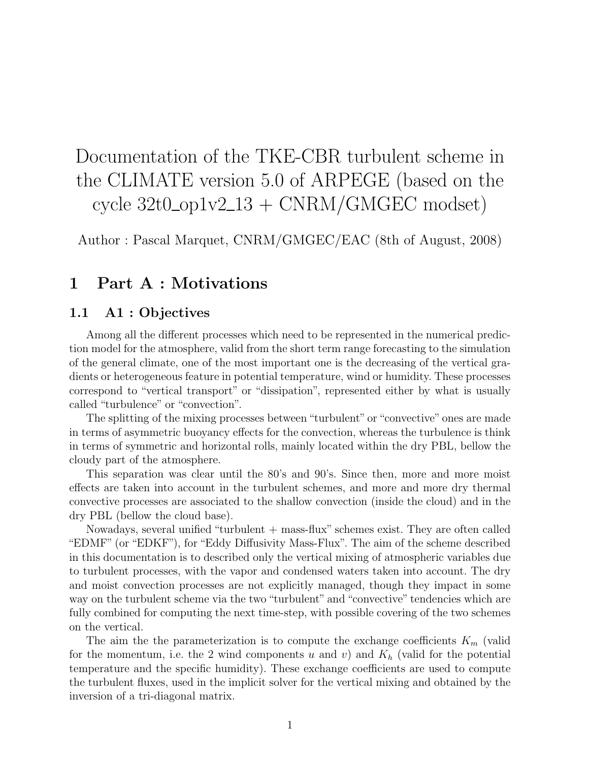# Documentation of the TKE-CBR turbulent scheme in the CLIMATE version 5.0 of ARPEGE (based on the cycle  $32t0$ <sub>-op</sub> $1v2$ <sub>-13</sub> + CNRM/GMGEC modset)

Author : Pascal Marquet, CNRM/GMGEC/EAC (8th of August, 2008)

# 1 Part A : Motivations

# 1.1 A1 : Objectives

Among all the different processes which need to be represented in the numerical prediction model for the atmosphere, valid from the short term range forecasting to the simulation of the general climate, one of the most important one is the decreasing of the vertical gradients or heterogeneous feature in potential temperature, wind or humidity. These processes correspond to "vertical transport" or "dissipation", represented either by what is usually called "turbulence" or "convection".

The splitting of the mixing processes between "turbulent" or "convective" ones are made in terms of asymmetric buoyancy effects for the convection, whereas the turbulence is think in terms of symmetric and horizontal rolls, mainly located within the dry PBL, bellow the cloudy part of the atmosphere.

This separation was clear until the 80's and 90's. Since then, more and more moist effects are taken into account in the turbulent schemes, and more and more dry thermal convective processes are associated to the shallow convection (inside the cloud) and in the dry PBL (bellow the cloud base).

Nowadays, several unified "turbulent + mass-flux" schemes exist. They are often called "EDMF" (or "EDKF"), for "Eddy Diffusivity Mass-Flux". The aim of the scheme described in this documentation is to described only the vertical mixing of atmospheric variables due to turbulent processes, with the vapor and condensed waters taken into account. The dry and moist convection processes are not explicitly managed, though they impact in some way on the turbulent scheme via the two "turbulent" and "convective" tendencies which are fully combined for computing the next time-step, with possible covering of the two schemes on the vertical.

The aim the the parameterization is to compute the exchange coefficients  $K_m$  (valid for the momentum, i.e. the 2 wind components u and v) and  $K_h$  (valid for the potential temperature and the specific humidity). These exchange coefficients are used to compute the turbulent fluxes, used in the implicit solver for the vertical mixing and obtained by the inversion of a tri-diagonal matrix.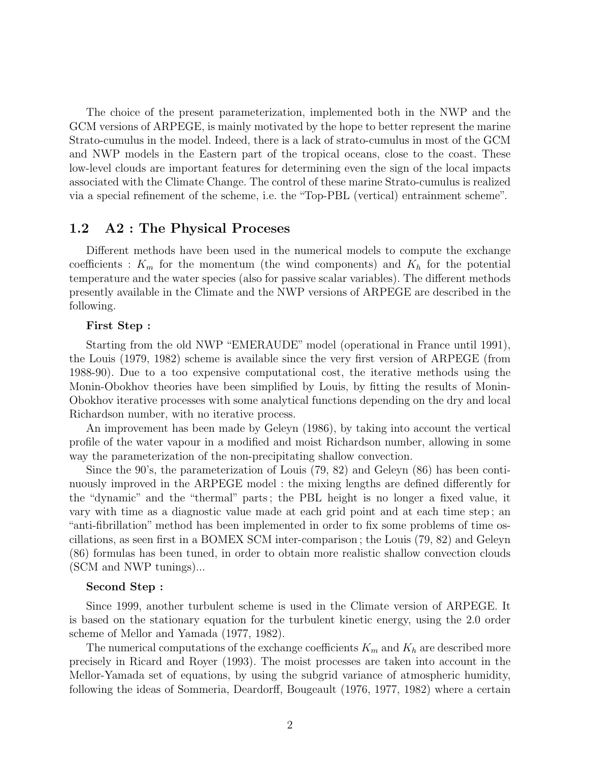The choice of the present parameterization, implemented both in the NWP and the GCM versions of ARPEGE, is mainly motivated by the hope to better represent the marine Strato-cumulus in the model. Indeed, there is a lack of strato-cumulus in most of the GCM and NWP models in the Eastern part of the tropical oceans, close to the coast. These low-level clouds are important features for determining even the sign of the local impacts associated with the Climate Change. The control of these marine Strato-cumulus is realized via a special refinement of the scheme, i.e. the "Top-PBL (vertical) entrainment scheme".

# 1.2 A2 : The Physical Proceses

Different methods have been used in the numerical models to compute the exchange coefficients :  $K_m$  for the momentum (the wind components) and  $K_h$  for the potential temperature and the water species (also for passive scalar variables). The different methods presently available in the Climate and the NWP versions of ARPEGE are described in the following.

### First Step :

Starting from the old NWP "EMERAUDE" model (operational in France until 1991), the Louis (1979, 1982) scheme is available since the very first version of ARPEGE (from 1988-90). Due to a too expensive computational cost, the iterative methods using the Monin-Obokhov theories have been simplified by Louis, by fitting the results of Monin-Obokhov iterative processes with some analytical functions depending on the dry and local Richardson number, with no iterative process.

An improvement has been made by Geleyn (1986), by taking into account the vertical profile of the water vapour in a modified and moist Richardson number, allowing in some way the parameterization of the non-precipitating shallow convection.

Since the 90's, the parameterization of Louis (79, 82) and Geleyn (86) has been continuously improved in the ARPEGE model : the mixing lengths are defined differently for the "dynamic" and the "thermal" parts ; the PBL height is no longer a fixed value, it vary with time as a diagnostic value made at each grid point and at each time step ; an "anti-fibrillation" method has been implemented in order to fix some problems of time oscillations, as seen first in a BOMEX SCM inter-comparison ; the Louis (79, 82) and Geleyn (86) formulas has been tuned, in order to obtain more realistic shallow convection clouds (SCM and NWP tunings)...

### Second Step :

Since 1999, another turbulent scheme is used in the Climate version of ARPEGE. It is based on the stationary equation for the turbulent kinetic energy, using the 2.0 order scheme of Mellor and Yamada (1977, 1982).

The numerical computations of the exchange coefficients  $K_m$  and  $K_h$  are described more precisely in Ricard and Royer (1993). The moist processes are taken into account in the Mellor-Yamada set of equations, by using the subgrid variance of atmospheric humidity, following the ideas of Sommeria, Deardorff, Bougeault (1976, 1977, 1982) where a certain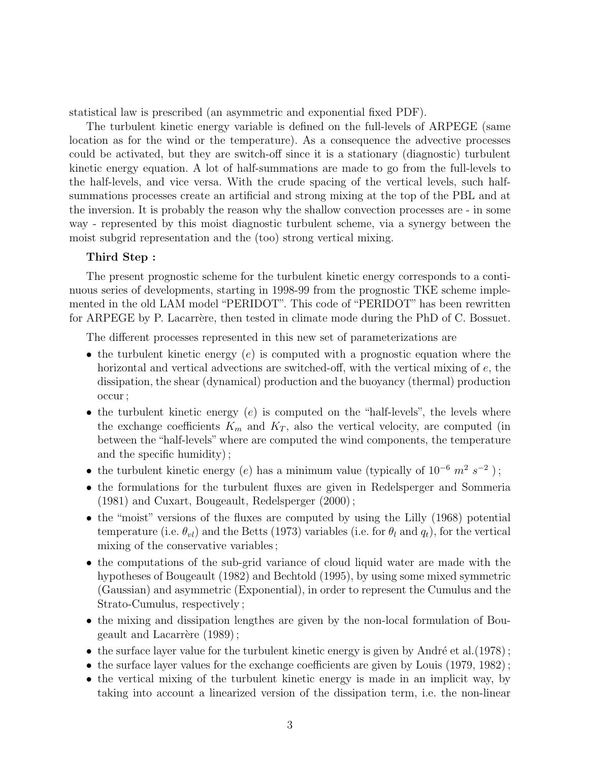statistical law is prescribed (an asymmetric and exponential fixed PDF).

The turbulent kinetic energy variable is defined on the full-levels of ARPEGE (same location as for the wind or the temperature). As a consequence the advective processes could be activated, but they are switch-off since it is a stationary (diagnostic) turbulent kinetic energy equation. A lot of half-summations are made to go from the full-levels to the half-levels, and vice versa. With the crude spacing of the vertical levels, such halfsummations processes create an artificial and strong mixing at the top of the PBL and at the inversion. It is probably the reason why the shallow convection processes are - in some way - represented by this moist diagnostic turbulent scheme, via a synergy between the moist subgrid representation and the (too) strong vertical mixing.

# Third Step :

The present prognostic scheme for the turbulent kinetic energy corresponds to a continuous series of developments, starting in 1998-99 from the prognostic TKE scheme implemented in the old LAM model "PERIDOT". This code of "PERIDOT" has been rewritten for ARPEGE by P. Lacarrère, then tested in climate mode during the PhD of C. Bossuet.

The different processes represented in this new set of parameterizations are

- the turbulent kinetic energy  $(e)$  is computed with a prognostic equation where the horizontal and vertical advections are switched-off, with the vertical mixing of  $e$ , the dissipation, the shear (dynamical) production and the buoyancy (thermal) production occur ;
- the turbulent kinetic energy  $(e)$  is computed on the "half-levels", the levels where the exchange coefficients  $K_m$  and  $K_T$ , also the vertical velocity, are computed (in between the "half-levels" where are computed the wind components, the temperature and the specific humidity) ;
- the turbulent kinetic energy (e) has a minimum value (typically of  $10^{-6}$   $m^2$   $s^{-2}$ );
- the formulations for the turbulent fluxes are given in Redelsperger and Sommeria (1981) and Cuxart, Bougeault, Redelsperger (2000) ;
- the "moist" versions of the fluxes are computed by using the Lilly (1968) potential temperature (i.e.  $\theta_{vl}$ ) and the Betts (1973) variables (i.e. for  $\theta_l$  and  $q_t$ ), for the vertical mixing of the conservative variables ;
- the computations of the sub-grid variance of cloud liquid water are made with the hypotheses of Bougeault (1982) and Bechtold (1995), by using some mixed symmetric (Gaussian) and asymmetric (Exponential), in order to represent the Cumulus and the Strato-Cumulus, respectively ;
- the mixing and dissipation lengthes are given by the non-local formulation of Bougeault and Lacarrère  $(1989)$ ;
- the surface layer value for the turbulent kinetic energy is given by André et al.  $(1978)$ ;
- the surface layer values for the exchange coefficients are given by Louis (1979, 1982) ;
- the vertical mixing of the turbulent kinetic energy is made in an implicit way, by taking into account a linearized version of the dissipation term, i.e. the non-linear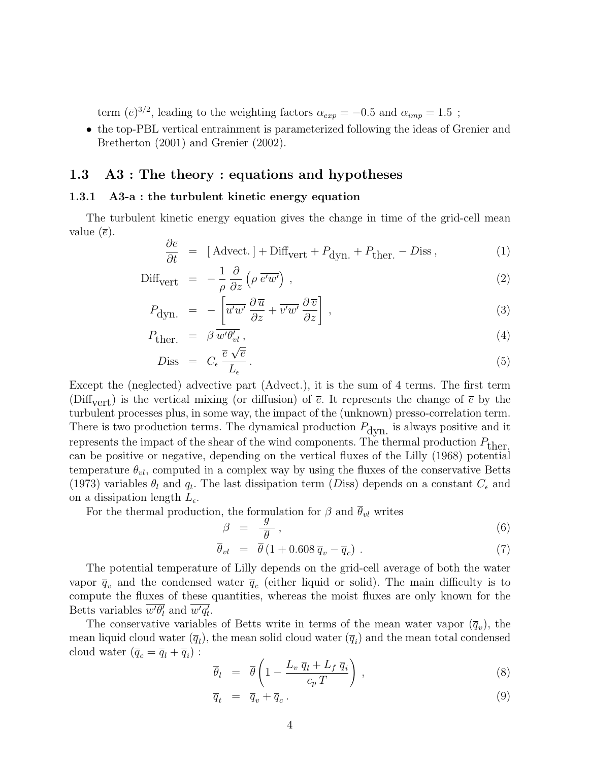term  $(\bar{e})^{3/2}$ , leading to the weighting factors  $\alpha_{exp} = -0.5$  and  $\alpha_{imp} = 1.5$ ;

• the top-PBL vertical entrainment is parameterized following the ideas of Grenier and Bretherton (2001) and Grenier (2002).

# 1.3 A3 : The theory : equations and hypotheses

### <span id="page-3-3"></span>1.3.1 A3-a : the turbulent kinetic energy equation

The turbulent kinetic energy equation gives the change in time of the grid-cell mean value  $(\overline{e})$ .

<span id="page-3-1"></span>
$$
\frac{\partial \overline{e}}{\partial t} = [ \text{Advect.}] + \text{Diff}_{\text{vert}} + P_{\text{dyn.}} + P_{\text{ther.}} - D_{\text{iss}} , \tag{1}
$$

$$
\text{Diff}_{\text{vert}} = -\frac{1}{\rho} \frac{\partial}{\partial z} \left( \rho \, \overline{e^{\prime} w^{\prime}} \right) , \qquad (2)
$$

$$
P_{\text{dyn.}} = -\left[\overline{u'w'}\frac{\partial \overline{u}}{\partial z} + \overline{v'w'}\frac{\partial \overline{v}}{\partial z}\right],\tag{3}
$$

$$
P_{\text{ther.}} = \beta \overline{w' \theta'_{vl}},\tag{4}
$$

$$
Diss = C_{\epsilon} \frac{\overline{e} \sqrt{\overline{e}}}{L_{\epsilon}}.
$$
\n
$$
(5)
$$

Except the (neglected) advective part (Advect.), it is the sum of 4 terms. The first term (Diff<sub>vert</sub>) is the vertical mixing (or diffusion) of  $\bar{e}$ . It represents the change of  $\bar{e}$  by the turbulent processes plus, in some way, the impact of the (unknown) presso-correlation term. There is two production terms. The dynamical production  $P_{\text{dyn}}$  is always positive and it represents the impact of the shear of the wind components. The thermal production  $P_{\text{ther}}$ . can be positive or negative, depending on the vertical fluxes of the Lilly (1968) potential temperature  $\theta_{vl}$ , computed in a complex way by using the fluxes of the conservative Betts (1973) variables  $\theta_l$  and  $q_t$ . The last dissipation term (Diss) depends on a constant  $C_{\epsilon}$  and on a dissipation length  $L_{\epsilon}$ .

For the thermal production, the formulation for  $\beta$  and  $\theta_{vl}$  writes

<span id="page-3-0"></span>
$$
\beta = \frac{g}{\overline{\theta}},\tag{6}
$$

$$
\overline{\theta}_{vl} = \overline{\theta} (1 + 0.608 \overline{q}_v - \overline{q}_c) . \tag{7}
$$

The potential temperature of Lilly depends on the grid-cell average of both the water vapor  $\bar{q}_v$  and the condensed water  $\bar{q}_c$  (either liquid or solid). The main difficulty is to compute the fluxes of these quantities, whereas the moist fluxes are only known for the Betts variables  $\overline{w'\theta'_l}$  and  $\overline{w'q'_t}$ .

The conservative variables of Betts write in terms of the mean water vapor  $(\bar{q}_v)$ , the mean liquid cloud water  $(\overline{q}_l)$ , the mean solid cloud water  $(\overline{q}_i)$  and the mean total condensed cloud water  $(\overline{q}_c = \overline{q}_l + \overline{q}_i)$ :

$$
\overline{\theta}_l = \overline{\theta} \left( 1 - \frac{L_v \overline{q}_l + L_f \overline{q}_i}{c_p T} \right) , \qquad (8)
$$

<span id="page-3-2"></span>
$$
\overline{q}_t = \overline{q}_v + \overline{q}_c. \tag{9}
$$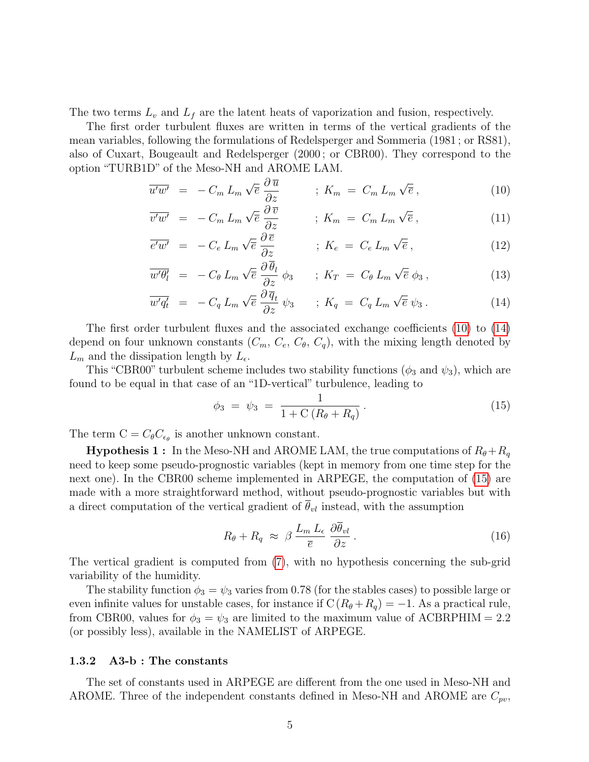The two terms  $L_v$  and  $L_f$  are the latent heats of vaporization and fusion, respectively.

The first order turbulent fluxes are written in terms of the vertical gradients of the mean variables, following the formulations of Redelsperger and Sommeria (1981 ; or RS81), also of Cuxart, Bougeault and Redelsperger (2000 ; or CBR00). They correspond to the option "TURB1D" of the Meso-NH and AROME LAM.

$$
\overline{u'w'} = -C_m L_m \sqrt{\overline{e}} \frac{\partial \overline{u}}{\partial z} \qquad ; K_m = C_m L_m \sqrt{\overline{e}} , \qquad (10)
$$

<span id="page-4-0"></span>
$$
\overline{v'w'} = -C_m L_m \sqrt{\overline{e}} \frac{\partial \overline{v}}{\partial z} \qquad ; K_m = C_m L_m \sqrt{\overline{e}} , \qquad (11)
$$

$$
\overline{e^{\prime}w^{\prime}} = -C_e L_m \sqrt{\overline{e}} \frac{\partial \overline{e}}{\partial z} \qquad ; K_e = C_e L_m \sqrt{\overline{e}} , \qquad (12)
$$

$$
\overline{w'\theta'_l} = -C_{\theta} L_m \sqrt{\overline{e}} \frac{\partial \overline{\theta}_l}{\partial z} \phi_3 \qquad ; K_T = C_{\theta} L_m \sqrt{\overline{e}} \phi_3 , \qquad (13)
$$

$$
\overline{w'q'_t} = -C_q L_m \sqrt{\overline{e}} \frac{\partial \overline{q}_t}{\partial z} \psi_3 \qquad ; K_q = C_q L_m \sqrt{\overline{e}} \psi_3. \qquad (14)
$$

The first order turbulent fluxes and the associated exchange coefficients [\(10\)](#page-4-0) to [\(14\)](#page-4-0) depend on four unknown constants  $(C_m, C_e, C_{\theta}, C_q)$ , with the mixing length denoted by  $L_m$  and the dissipation length by  $L_{\epsilon}$ .

This "CBR00" turbulent scheme includes two stability functions ( $\phi_3$  and  $\psi_3$ ), which are found to be equal in that case of an "1D-vertical" turbulence, leading to

<span id="page-4-1"></span>
$$
\phi_3 = \psi_3 = \frac{1}{1 + C(R_\theta + R_q)}.
$$
\n(15)

The term  $C = C_{\theta} C_{\epsilon_{\theta}}$  is another unknown constant.

**Hypothesis 1**: In the Meso-NH and AROME LAM, the true computations of  $R_{\theta} + R_{q}$ need to keep some pseudo-prognostic variables (kept in memory from one time step for the next one). In the CBR00 scheme implemented in ARPEGE, the computation of [\(15\)](#page-4-1) are made with a more straightforward method, without pseudo-prognostic variables but with a direct computation of the vertical gradient of  $\bar{\theta}_{vl}$  instead, with the assumption

<span id="page-4-2"></span>
$$
R_{\theta} + R_q \approx \beta \frac{L_m L_{\epsilon}}{\overline{e}} \frac{\partial \overline{\theta}_{vl}}{\partial z} \,. \tag{16}
$$

The vertical gradient is computed from [\(7\)](#page-3-0), with no hypothesis concerning the sub-grid variability of the humidity.

The stability function  $\phi_3 = \psi_3$  varies from 0.78 (for the stables cases) to possible large or even infinite values for unstable cases, for instance if  $C(R_{\theta}+R_q) = -1$ . As a practical rule, from CBR00, values for  $\phi_3 = \psi_3$  are limited to the maximum value of ACBRPHIM = 2.2 (or possibly less), available in the NAMELIST of ARPEGE.

### <span id="page-4-3"></span>1.3.2 A3-b : The constants

The set of constants used in ARPEGE are different from the one used in Meso-NH and AROME. Three of the independent constants defined in Meso-NH and AROME are  $C_{pv}$ ,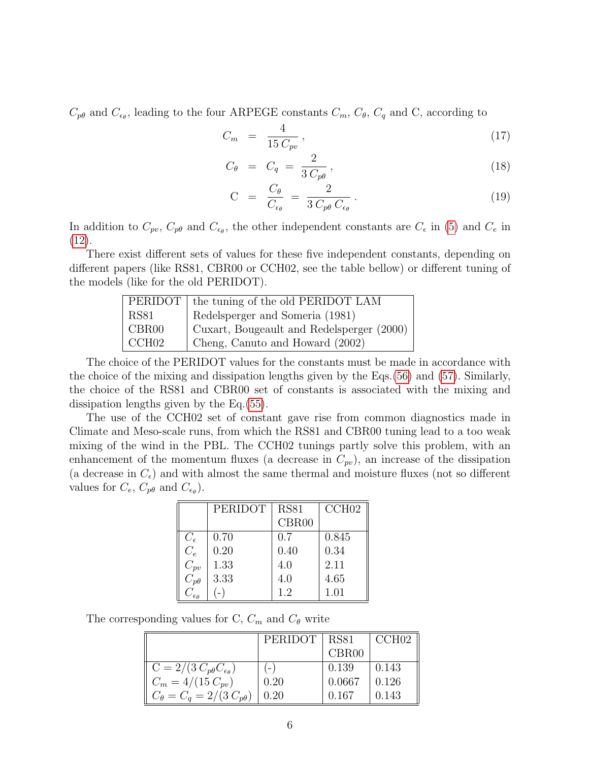$C_{p\theta}$  and  $C_{\epsilon_{\theta}}$ , leading to the four ARPEGE constants  $C_m$ ,  $C_{\theta}$ ,  $C_q$  and C, according to

$$
C_m = \frac{4}{15 C_{pv}}, \tag{17}
$$

<span id="page-5-0"></span>
$$
C_{\theta} = C_q = \frac{2}{3 C_{p\theta}}, \qquad (18)
$$

$$
C = \frac{C_{\theta}}{C_{\epsilon_{\theta}}} = \frac{2}{3 C_{p\theta} C_{\epsilon_{\theta}}}.
$$
\n(19)

In addition to  $C_{pv}$ ,  $C_{p\theta}$  and  $C_{\epsilon_{\theta}}$ , the other independent constants are  $C_{\epsilon}$  in [\(5\)](#page-3-1) and  $C_{e}$  in [\(12\)](#page-4-0).

There exist different sets of values for these five independent constants, depending on different papers (like RS81, CBR00 or CCH02, see the table bellow) or different tuning of the models (like for the old PERIDOT).

|                   | PERIDOT   the tuning of the old PERIDOT LAM |
|-------------------|---------------------------------------------|
| <b>RS81</b>       | Redelsperger and Someria (1981)             |
| CBR <sub>00</sub> | Cuxart, Bougeault and Redelsperger (2000)   |
| CCH02             | Cheng, Canuto and Howard (2002)             |

The choice of the PERIDOT values for the constants must be made in accordance with the choice of the mixing and dissipation lengths given by the Eqs.[\(56\)](#page-11-0) and [\(57\)](#page-11-0). Similarly, the choice of the RS81 and CBR00 set of constants is associated with the mixing and dissipation lengths given by the Eq.[\(55\)](#page-11-1).

The use of the CCH02 set of constant gave rise from common diagnostics made in Climate and Meso-scale runs, from which the RS81 and CBR00 tuning lead to a too weak mixing of the wind in the PBL. The CCH02 tunings partly solve this problem, with an enhancement of the momentum fluxes (a decrease in  $C_{pv}$ ), an increase of the dissipation (a decrease in  $C_{\epsilon}$ ) and with almost the same thermal and moisture fluxes (not so different values for  $C_e$ ,  $C_{p\theta}$  and  $C_{\epsilon_{\theta}}$ ).

|                         | PERIDOT | <b>RS81</b> | CCH02 |
|-------------------------|---------|-------------|-------|
|                         |         | CBR00       |       |
| $C_{\epsilon}$          | 0.70    | 0.7         | 0.845 |
| $C_e$                   | 0.20    | 0.40        | 0.34  |
| $C_{pv}$                | 1.33    | 4.0         | 2.11  |
| $C_{p\theta}$           | 3.33    | 4.0         | 4.65  |
| $C_{\epsilon_{\theta}}$ |         | 1.2         | 1.01  |

The corresponding values for C,  $C_m$  and  $C_\theta$  write

|                                               | PERIDOT | <b>RS81</b> | CCH02 |
|-----------------------------------------------|---------|-------------|-------|
|                                               |         | CBR00       |       |
| $C = 2/(3 C_{p\theta} C_{\epsilon_{\theta}})$ | $(-)$   | 0.139       | 0.143 |
| $C_m = 4/(15 C_{pv})$                         | 0.20    | 0.0667      | 0.126 |
| $C_{\theta} = C_{a} = 2/(3 C_{p\theta})$      | 0.20    | 0.167       | 0.143 |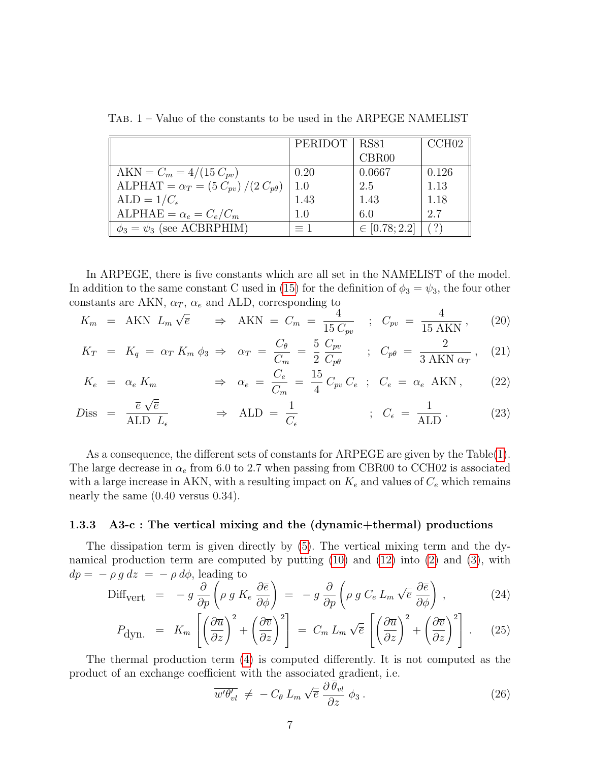|                                                    | PERIDOT | <b>RS81</b>       | CCH02 |
|----------------------------------------------------|---------|-------------------|-------|
|                                                    |         | CBR00             |       |
| $AKN = C_m = 4/(15 C_{pv})$                        | 0.20    | 0.0667            | 0.126 |
| ALPHAT = $\alpha_T = (5 C_{pv}) / (2 C_{p\theta})$ | 1.0     | 2.5               | 1.13  |
| $ALD = 1/C_{\epsilon}$                             | 1.43    | 1.43              | 1.18  |
| ALPHAE = $\alpha_e = C_e/C_m$                      | $1.0\,$ | 6.0               | 2.7   |
| $\phi_3 = \psi_3$ (see ACBRPHIM)                   | $=1$    | $\in [0.78; 2.2]$ |       |

<span id="page-6-0"></span>Tab. 1 – Value of the constants to be used in the ARPEGE NAMELIST

In ARPEGE, there is five constants which are all set in the NAMELIST of the model. In addition to the same constant C used in [\(15\)](#page-4-1) for the definition of  $\phi_3 = \psi_3$ , the four other constants are AKN,  $\alpha_T$ ,  $\alpha_e$  and ALD, corresponding to  $\frac{1}{4}$ 

$$
K_m = \text{AKN } L_m \sqrt{\overline{e}} \quad \Rightarrow \text{AKN } = C_m = \frac{4}{15 C_{pv}} \quad ; \quad C_{pv} = \frac{4}{15 \text{ AKN}} \,, \tag{20}
$$

$$
K_T = K_q = \alpha_T K_m \phi_3 \Rightarrow \alpha_T = \frac{C_\theta}{C_m} = \frac{5}{2} \frac{C_{pv}}{C_{p\theta}} \qquad ; \quad C_{p\theta} = \frac{2}{3 \text{ AKN } \alpha_T}, \quad (21)
$$

$$
K_e = \alpha_e K_m \qquad \Rightarrow \alpha_e = \frac{C_e}{C_m} = \frac{15}{4} C_{pv} C_e \; ; \; C_e = \alpha_e \text{ AKN} \,, \qquad (22)
$$

$$
Diss = \frac{\overline{e}\sqrt{\overline{e}}}{\text{ALD }L_{\epsilon}} \qquad \Rightarrow \text{ALD} = \frac{1}{C_{\epsilon}} \qquad ; \quad C_{\epsilon} = \frac{1}{\text{ALD}} \,. \tag{23}
$$

As a consequence, the different sets of constants for ARPEGE are given by the Table[\(1\)](#page-6-0). The large decrease in  $\alpha_e$  from 6.0 to 2.7 when passing from CBR00 to CCH02 is associated with a large increase in AKN, with a resulting impact on  $K_e$  and values of  $C_e$  which remains nearly the same (0.40 versus 0.34).

#### 1.3.3 A3-c : The vertical mixing and the (dynamic+thermal) productions

The dissipation term is given directly by [\(5\)](#page-3-1). The vertical mixing term and the dynamical production term are computed by putting [\(10\)](#page-4-0) and [\(12\)](#page-4-0) into [\(2\)](#page-3-1) and [\(3\)](#page-3-1), with  $dp = -\rho g dz = -\rho d\phi$ , leading to

$$
\text{Diff}_{\text{vert}} = -g \frac{\partial}{\partial p} \left( \rho g K_e \frac{\partial \overline{e}}{\partial \phi} \right) = -g \frac{\partial}{\partial p} \left( \rho g C_e L_m \sqrt{\overline{e}} \frac{\partial \overline{e}}{\partial \phi} \right), \qquad (24)
$$

<span id="page-6-1"></span>
$$
P_{\text{dyn.}} = K_m \left[ \left( \frac{\partial \overline{u}}{\partial z} \right)^2 + \left( \frac{\partial \overline{v}}{\partial z} \right)^2 \right] = C_m L_m \sqrt{\overline{e}} \left[ \left( \frac{\partial \overline{u}}{\partial z} \right)^2 + \left( \frac{\partial \overline{v}}{\partial z} \right)^2 \right]. \tag{25}
$$

The thermal production term [\(4\)](#page-3-1) is computed differently. It is not computed as the product of an exchange coefficient with the associated gradient, i.e.

$$
\overline{w'\theta'_{vl}} \neq -C_{\theta} L_m \sqrt{\overline{e}} \frac{\partial \overline{\theta_{vl}}}{\partial z} \phi_3.
$$
\n(26)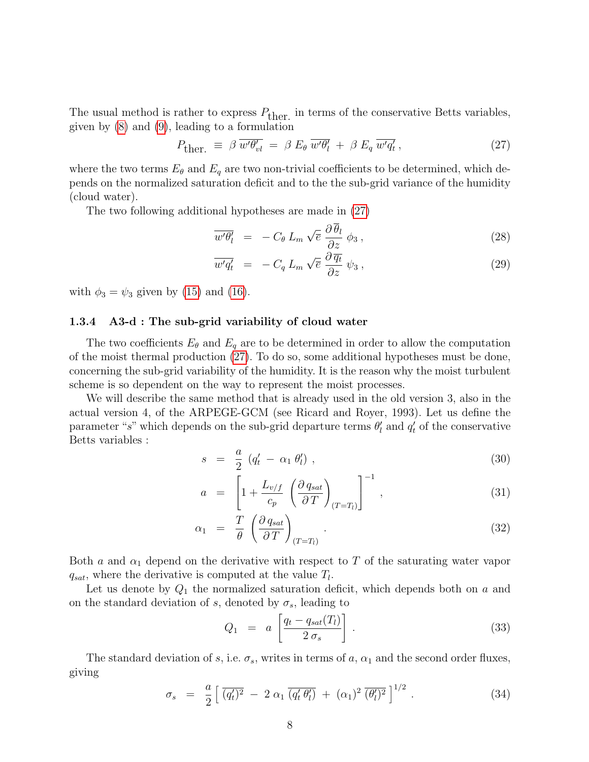The usual method is rather to express  $P_{\text{ther.}}$  in terms of the conservative Betts variables, given by [\(8\)](#page-3-2) and [\(9\)](#page-3-2), leading to a formulation

<span id="page-7-0"></span>
$$
P_{\text{ther.}} \equiv \beta \, \overline{w' \theta'_{vl}} \, = \, \beta \, E_{\theta} \, \overline{w' \theta'_{l}} \, + \, \beta \, E_{q} \, \overline{w' q'_{t}} \,, \tag{27}
$$

where the two terms  $E_{\theta}$  and  $E_{q}$  are two non-trivial coefficients to be determined, which depends on the normalized saturation deficit and to the the sub-grid variance of the humidity (cloud water).

The two following additional hypotheses are made in [\(27\)](#page-7-0)

$$
\overline{w'\theta'_l} = -C_{\theta} L_m \sqrt{\overline{e}} \frac{\partial \overline{\theta}_l}{\partial z} \phi_3 , \qquad (28)
$$

<span id="page-7-3"></span>
$$
\overline{w'q'_t} = -C_q L_m \sqrt{\overline{e}} \frac{\partial \overline{q_t}}{\partial z} \psi_3 , \qquad (29)
$$

with  $\phi_3 = \psi_3$  given by [\(15\)](#page-4-1) and [\(16\)](#page-4-2).

#### 1.3.4 A3-d : The sub-grid variability of cloud water

The two coefficients  $E_{\theta}$  and  $E_{q}$  are to be determined in order to allow the computation of the moist thermal production [\(27\)](#page-7-0). To do so, some additional hypotheses must be done, concerning the sub-grid variability of the humidity. It is the reason why the moist turbulent scheme is so dependent on the way to represent the moist processes.

We will describe the same method that is already used in the old version 3, also in the actual version 4, of the ARPEGE-GCM (see Ricard and Royer, 1993). Let us define the parameter "s" which depends on the sub-grid departure terms  $\theta'_{l}$  and  $q'_{t}$  of the conservative Betts variables :

$$
s = \frac{a}{2} \left( q'_t - \alpha_1 \theta'_t \right) , \tag{30}
$$

<span id="page-7-2"></span>
$$
a = \left[1 + \frac{L_{v/f}}{c_p} \left(\frac{\partial q_{sat}}{\partial T}\right)_{(T=T_l)}\right]^{-1}, \qquad (31)
$$

$$
\alpha_1 = \frac{T}{\theta} \left( \frac{\partial q_{sat}}{\partial T} \right)_{(T=T_l)} . \tag{32}
$$

Both a and  $\alpha_1$  depend on the derivative with respect to T of the saturating water vapor  $q_{sat}$ , where the derivative is computed at the value  $T_l$ .

Let us denote by  $Q_1$  the normalized saturation deficit, which depends both on a and on the standard deviation of s, denoted by  $\sigma_s$ , leading to

<span id="page-7-4"></span>
$$
Q_1 = a \left[ \frac{q_t - q_{sat}(T_l)}{2 \sigma_s} \right]. \tag{33}
$$

The standard deviation of s, i.e.  $\sigma_s$ , writes in terms of a,  $\alpha_1$  and the second order fluxes, giving

<span id="page-7-1"></span>
$$
\sigma_s = \frac{a}{2} \left[ \overline{(q'_t)^2} - 2 \alpha_1 \overline{(q'_t \theta'_t)} + (\alpha_1)^2 \overline{(\theta'_t)^2} \right]^{1/2} . \tag{34}
$$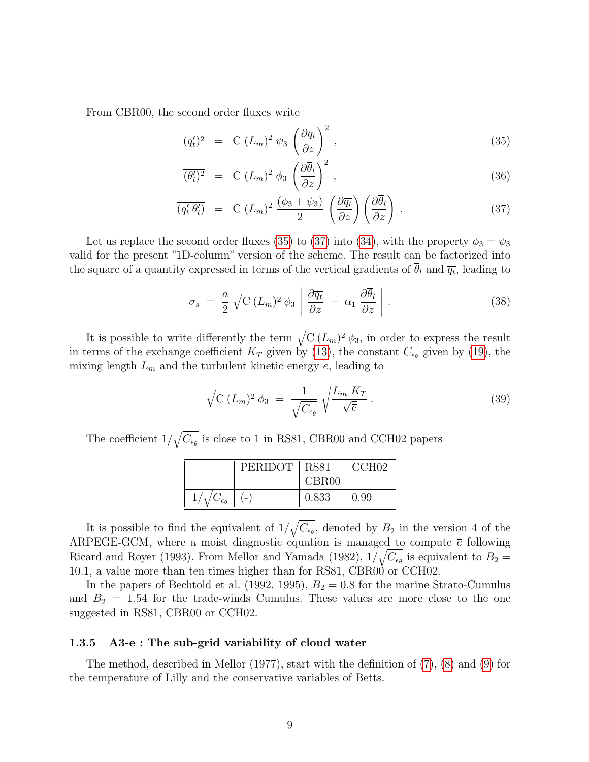From CBR00, the second order fluxes write

$$
\overline{(q'_t)^2} = C (L_m)^2 \psi_3 \left(\frac{\partial \overline{q_t}}{\partial z}\right)^2, \qquad (35)
$$

<span id="page-8-0"></span>
$$
\overline{(\theta_l')^2} = C (L_m)^2 \phi_3 \left(\frac{\partial \overline{\theta}_l}{\partial z}\right)^2, \qquad (36)
$$

$$
\overline{(q'_t \theta'_t)} = C (L_m)^2 \frac{(\phi_3 + \psi_3)}{2} \left( \frac{\partial \overline{q_t}}{\partial z} \right) \left( \frac{\partial \overline{\theta}_l}{\partial z} \right).
$$
 (37)

Let us replace the second order fluxes [\(35\)](#page-8-0) to [\(37\)](#page-8-0) into [\(34\)](#page-7-1), with the property  $\phi_3 = \psi_3$ valid for the present "1D-column" version of the scheme. The result can be factorized into the square of a quantity expressed in terms of the vertical gradients of  $\theta_l$  and  $\overline{q_t}$ , leading to

<span id="page-8-1"></span>
$$
\sigma_s = \frac{a}{2} \sqrt{C (L_m)^2 \phi_3} \left| \frac{\partial \overline{q_t}}{\partial z} - \alpha_1 \frac{\partial \overline{\theta}_l}{\partial z} \right|.
$$
 (38)

It is possible to write differently the term  $\sqrt{C (L_m)^2 \phi_3}$ , in order to express the result in terms of the exchange coefficient  $K_T$  given by [\(13\)](#page-4-0), the constant  $C_{\epsilon_{\theta}}$  given by [\(19\)](#page-5-0), the mixing length  $L_m$  and the turbulent kinetic energy  $\bar{e}$ , leading to

<span id="page-8-2"></span>
$$
\sqrt{C (L_m)^2 \phi_3} = \frac{1}{\sqrt{C_{\epsilon_\theta}}} \sqrt{\frac{L_m K_T}{\sqrt{\overline{e}}}}.
$$
\n(39)

The coefficient  $1/\sqrt{C_{\epsilon_{\theta}}}$  is close to 1 in RS81, CBR00 and CCH02 papers

|                     | PERIDOT | <b>RS81</b>       | CCH <sub>02</sub> |
|---------------------|---------|-------------------|-------------------|
|                     |         | CBR <sub>00</sub> |                   |
| $\epsilon_{\theta}$ |         | 0.833             | 0.99              |

It is possible to find the equivalent of  $1/\sqrt{C_{\epsilon_{\theta}}}$ , denoted by  $B_2$  in the version 4 of the ARPEGE-GCM, where a moist diagnostic equation is managed to compute  $\bar{e}$  following Ricard and Royer (1993). From Mellor and Yamada (1982),  $1/\sqrt{C_{\epsilon_{\theta}}}$  is equivalent to  $B_2 =$ 10.1, a value more than ten times higher than for RS81, CBR00 or CCH02.

In the papers of Bechtold et al. (1992, 1995),  $B_2 = 0.8$  for the marine Strato-Cumulus and  $B_2 = 1.54$  for the trade-winds Cumulus. These values are more close to the one suggested in RS81, CBR00 or CCH02.

# 1.3.5 A3-e : The sub-grid variability of cloud water

The method, described in Mellor (1977), start with the definition of [\(7\)](#page-3-0), [\(8\)](#page-3-2) and [\(9\)](#page-3-2) for the temperature of Lilly and the conservative variables of Betts.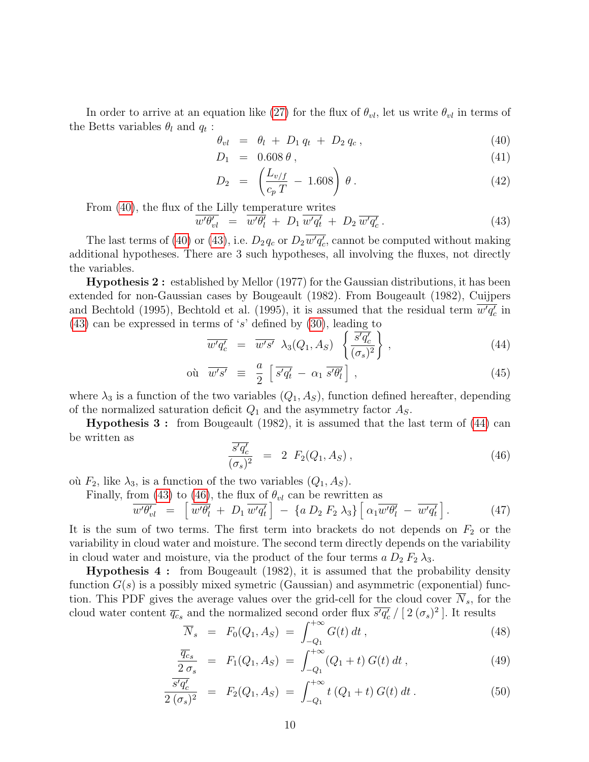In order to arrive at an equation like [\(27\)](#page-7-0) for the flux of  $\theta_{vl}$ , let us write  $\theta_{vl}$  in terms of the Betts variables  $\theta_l$  and  $q_t$ :

$$
\theta_{vl} = \theta_l + D_1 q_t + D_2 q_c, \qquad (40)
$$

<span id="page-9-0"></span>
$$
D_1 = 0.608 \,\theta \,, \tag{41}
$$

$$
D_2 = \left(\frac{L_{v/f}}{c_p T} - 1.608\right) \theta \,. \tag{42}
$$

From [\(40\)](#page-9-0), the flux of the Lilly temperature writes

<span id="page-9-1"></span>
$$
\overline{w'\theta'_{vl}} = \overline{w'\theta'_l} + D_1 \overline{w'q'_t} + D_2 \overline{w'q'_c} \,.
$$
\n(43)

The last terms of [\(40\)](#page-9-0) or [\(43\)](#page-9-1), i.e.  $D_2 q_c$  or  $D_2 \overline{w'q_c'}$ , cannot be computed without making additional hypotheses. There are 3 such hypotheses, all involving the fluxes, not directly the variables.

Hypothesis 2 : established by Mellor (1977) for the Gaussian distributions, it has been extended for non-Gaussian cases by Bougeault (1982). From Bougeault (1982), Cuijpers and Bechtold (1995), Bechtold et al. (1995), it is assumed that the residual term  $\overline{w'q_c'}$  in  $(43)$  can be expressed in terms of 's' defined by  $(30)$ , leading to

<span id="page-9-2"></span>
$$
\overline{w'q'_c} = \overline{w's'} \lambda_3(Q_1, A_S) \left\{ \frac{\overline{s'q'_c}}{(\sigma_s)^2} \right\},
$$
\n(44)

$$
\text{ou } \overline{w's'} \equiv \frac{a}{2} \left[ \overline{s'q'_t} - \alpha_1 \overline{s'\theta'_l} \right], \tag{45}
$$

where  $\lambda_3$  is a function of the two variables  $(Q_1, A_S)$ , function defined hereafter, depending of the normalized saturation deficit  $Q_1$  and the asymmetry factor  $A_S$ .

Hypothesis 3 : from Bougeault (1982), it is assumed that the last term of [\(44\)](#page-9-2) can be written as

<span id="page-9-3"></span>
$$
\frac{\overline{s'q'_c}}{(\sigma_s)^2} = 2 F_2(Q_1, A_S), \qquad (46)
$$

où  $F_2$ , like  $\lambda_3$ , is a function of the two variables  $(Q_1, A_S)$ .

Finally, from [\(43\)](#page-9-1) to [\(46\)](#page-9-3), the flux of  $\theta_{vl}$  can be rewritten as

<span id="page-9-4"></span>
$$
\overrightarrow{w'\theta'_{vl}} = \left[ \overrightarrow{w'\theta'_l} + D_1 \overrightarrow{w'q'_t} \right] - \left\{ a \ D_2 \ F_2 \ \lambda_3 \right\} \left[ \alpha_1 \overrightarrow{w'\theta'_l} - \overrightarrow{w'q'_t} \right]. \tag{47}
$$

It is the sum of two terms. The first term into brackets do not depends on  $F_2$  or the variability in cloud water and moisture. The second term directly depends on the variability in cloud water and moisture, via the product of the four terms  $a D_2 F_2 \lambda_3$ .

Hypothesis 4 : from Bougeault (1982), it is assumed that the probability density function  $G(s)$  is a possibly mixed symetric (Gaussian) and asymmetric (exponential) function. This PDF gives the average values over the grid-cell for the cloud cover  $N_s$ , for the cloud water content  $\overline{q_c}$  and the normalized second order flux  $\overline{s'q_c'}$  / [2 $(\sigma_s)^2$ ]. It results

$$
\overline{N}_s = F_0(Q_1, A_S) = \int_{-Q_1}^{+\infty} G(t) dt,
$$
\n(48)

<span id="page-9-5"></span>
$$
\frac{\overline{q_c}_s}{2 \sigma_s} = F_1(Q_1, A_S) = \int_{-Q_1}^{+\infty} (Q_1 + t) G(t) dt , \qquad (49)
$$

$$
\frac{\overline{s'q'_c}}{2\left(\sigma_s\right)^2} = F_2(Q_1, A_S) = \int_{-Q_1}^{+\infty} t\left(Q_1 + t\right) G(t) \, dt \,. \tag{50}
$$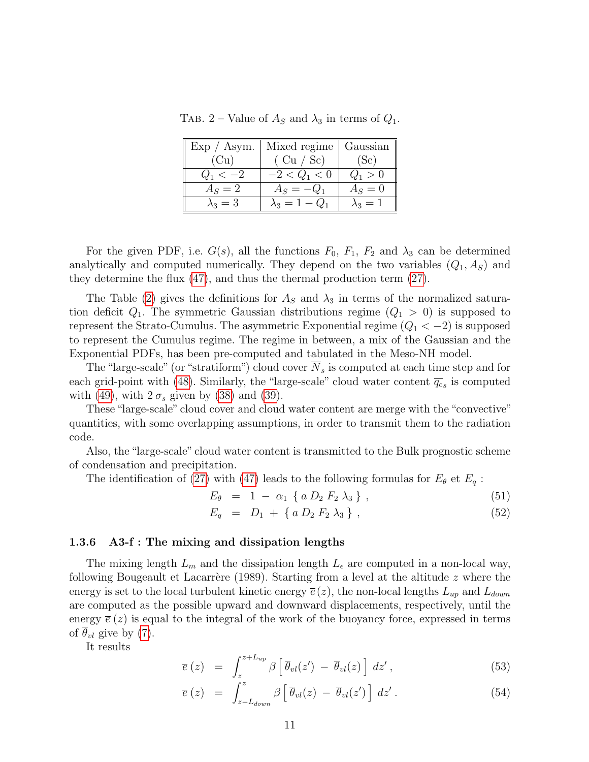|               | $Exp / Asym.$   Mixed regime   Gaussian |               |
|---------------|-----------------------------------------|---------------|
| (Cu)          | (Cu / Sc)                               | (Sc)          |
| $Q_1 < -2$    | $-2 < Q_1 < 0$                          | $Q_1 > 0$     |
| $A_S = 2$     | $A_S = -Q_1$                            | $A_S=0$       |
| $\lambda_3=3$ | $\lambda_3 = 1 - Q_1$                   | $\lambda_3=1$ |

<span id="page-10-0"></span>TAB. 2 – Value of  $A<sub>S</sub>$  and  $\lambda<sub>3</sub>$  in terms of  $Q<sub>1</sub>$ .

For the given PDF, i.e.  $G(s)$ , all the functions  $F_0$ ,  $F_1$ ,  $F_2$  and  $\lambda_3$  can be determined analytically and computed numerically. They depend on the two variables  $(Q_1, A_S)$  and they determine the flux [\(47\)](#page-9-4), and thus the thermal production term [\(27\)](#page-7-0).

The Table [\(2\)](#page-10-0) gives the definitions for  $A<sub>S</sub>$  and  $\lambda<sub>3</sub>$  in terms of the normalized saturation deficit  $Q_1$ . The symmetric Gaussian distributions regime  $(Q_1 > 0)$  is supposed to represent the Strato-Cumulus. The asymmetric Exponential regime  $(Q_1 < -2)$  is supposed to represent the Cumulus regime. The regime in between, a mix of the Gaussian and the Exponential PDFs, has been pre-computed and tabulated in the Meso-NH model.

The "large-scale" (or "stratiform") cloud cover  $N_s$  is computed at each time step and for each grid-point with [\(48\)](#page-9-5). Similarly, the "large-scale" cloud water content  $\overline{q_c}_s$  is computed with [\(49\)](#page-9-5), with  $2 \sigma_s$  given by [\(38\)](#page-8-1) and [\(39\)](#page-8-2).

These "large-scale" cloud cover and cloud water content are merge with the "convective" quantities, with some overlapping assumptions, in order to transmit them to the radiation code.

Also, the "large-scale" cloud water content is transmitted to the Bulk prognostic scheme of condensation and precipitation.

The identification of [\(27\)](#page-7-0) with [\(47\)](#page-9-4) leads to the following formulas for  $E_{\theta}$  et  $E_q$ :

<span id="page-10-2"></span>
$$
E_{\theta} = 1 - \alpha_1 \{ a D_2 F_2 \lambda_3 \}, \qquad (51)
$$

$$
E_q = D_1 + \{ a D_2 F_2 \lambda_3 \}, \qquad (52)
$$

# 1.3.6 A3-f : The mixing and dissipation lengths

The mixing length  $L_m$  and the dissipation length  $L_{\epsilon}$  are computed in a non-local way, following Bougeault et Lacarrère (1989). Starting from a level at the altitude  $z$  where the energy is set to the local turbulent kinetic energy  $\bar{e}(z)$ , the non-local lengths  $L_{up}$  and  $L_{down}$ are computed as the possible upward and downward displacements, respectively, until the energy  $\bar{e}(z)$  is equal to the integral of the work of the buoyancy force, expressed in terms of  $\theta_{vl}$  give by [\(7\)](#page-3-0).

It results

$$
\overline{e}(z) = \int_{z}^{z+L_{up}} \beta \left[ \overline{\theta}_{vl}(z') - \overline{\theta}_{vl}(z) \right] dz', \qquad (53)
$$

<span id="page-10-1"></span>
$$
\overline{e}(z) = \int_{z-L_{down}}^{z} \beta \left[ \overline{\theta}_{vl}(z) - \overline{\theta}_{vl}(z') \right] dz' . \qquad (54)
$$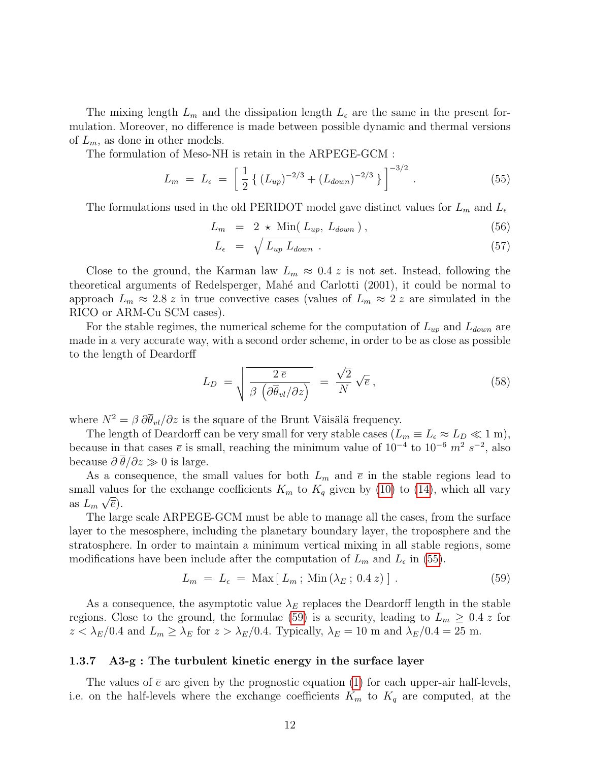The mixing length  $L_m$  and the dissipation length  $L_{\epsilon}$  are the same in the present formulation. Moreover, no difference is made between possible dynamic and thermal versions of  $L_m$ , as done in other models.

The formulation of Meso-NH is retain in the ARPEGE-GCM :

<span id="page-11-1"></span>
$$
L_m = L_{\epsilon} = \left[ \frac{1}{2} \left\{ \left( L_{up} \right)^{-2/3} + \left( L_{down} \right)^{-2/3} \right\} \right]^{-3/2} . \tag{55}
$$

The formulations used in the old PERIDOT model gave distinct values for  $L_m$  and  $L_{\epsilon}$ 

<span id="page-11-0"></span>
$$
L_m = 2 \star \text{Min}(L_{up}, L_{down}), \qquad (56)
$$

$$
L_{\epsilon} = \sqrt{L_{up} L_{down}} \ . \tag{57}
$$

Close to the ground, the Karman law  $L_m \approx 0.4$  z is not set. Instead, following the theoretical arguments of Redelsperger, Mahé and Carlotti (2001), it could be normal to approach  $L_m \approx 2.8 \, z$  in true convective cases (values of  $L_m \approx 2 \, z$  are simulated in the RICO or ARM-Cu SCM cases).

For the stable regimes, the numerical scheme for the computation of  $L_{up}$  and  $L_{down}$  are made in a very accurate way, with a second order scheme, in order to be as close as possible to the length of Deardorff

<span id="page-11-3"></span>
$$
L_D = \sqrt{\frac{2\,\overline{e}}{\beta \left(\partial \overline{\theta}_{vl}/\partial z\right)}} = \frac{\sqrt{2}}{N} \sqrt{\overline{e}} \,, \tag{58}
$$

where  $N^2 = \beta \partial \overline{\theta}_{vl} / \partial z$  is the square of the Brunt Väisälä frequency.

The length of Deardorff can be very small for very stable cases  $(L_m \equiv L_{\epsilon} \approx L_D \ll 1 \text{ m})$ , because in that cases  $\bar{e}$  is small, reaching the minimum value of  $10^{-4}$  to  $10^{-6}$   $m^2$   $s^{-2}$ , also because  $\partial \overline{\theta}/\partial z \gg 0$  is large.

As a consequence, the small values for both  $L_m$  and  $\bar{e}$  in the stable regions lead to small values for the exchange coefficients  $K_m$  to  $K_q$  given by [\(10\)](#page-4-0) to [\(14\)](#page-4-0), which all vary as  $L_m \sqrt{\overline{e}}$ .

The large scale ARPEGE-GCM must be able to manage all the cases, from the surface layer to the mesosphere, including the planetary boundary layer, the troposphere and the stratosphere. In order to maintain a minimum vertical mixing in all stable regions, some modifications have been include after the computation of  $L_m$  and  $L_{\epsilon}$  in [\(55\)](#page-11-1).

<span id="page-11-2"></span>
$$
L_m = L_{\epsilon} = \text{Max}[L_m; \text{Min}(\lambda_E; 0.4 \, z)]. \tag{59}
$$

As a consequence, the asymptotic value  $\lambda_E$  replaces the Deardorff length in the stable regions. Close to the ground, the formulae [\(59\)](#page-11-2) is a security, leading to  $L_m \geq 0.4$  z for  $z < \lambda_E/0.4$  and  $L_m \ge \lambda_E$  for  $z > \lambda_E/0.4$ . Typically,  $\lambda_E = 10$  m and  $\lambda_E/0.4 = 25$  m.

### 1.3.7 A3-g : The turbulent kinetic energy in the surface layer

The values of  $\bar{e}$  are given by the prognostic equation [\(1\)](#page-3-1) for each upper-air half-levels, i.e. on the half-levels where the exchange coefficients  $K_m$  to  $K_q$  are computed, at the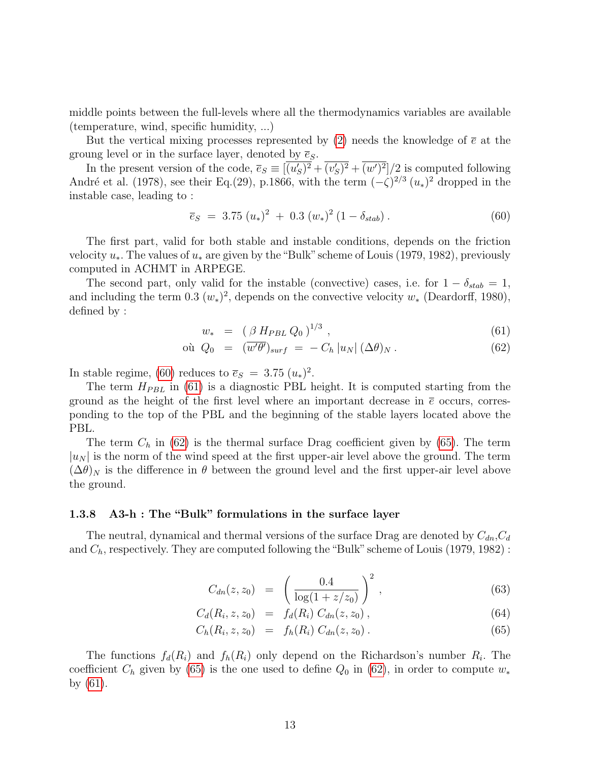middle points between the full-levels where all the thermodynamics variables are available (temperature, wind, specific humidity, ...)

But the vertical mixing processes represented by [\(2\)](#page-3-1) needs the knowledge of  $\bar{e}$  at the groung level or in the surface layer, denoted by  $\overline{e}_s$ .

In the present version of the code,  $\overline{e}_s \equiv \overline{(u'_s)^2} + \overline{(v'_s)^2} + \overline{(w')^2}/2$  is computed following André et al. (1978), see their Eq.(29), p.1866, with the term  $(-\zeta)^{2/3} (u_*)^2$  dropped in the instable case, leading to :

<span id="page-12-0"></span>
$$
\overline{e}_S = 3.75 \ (u_*)^2 + 0.3 \ (w_*)^2 \ (1 - \delta_{stab}) \ . \tag{60}
$$

The first part, valid for both stable and instable conditions, depends on the friction velocity  $u_*$ . The values of  $u_*$  are given by the "Bulk" scheme of Louis (1979, 1982), previously computed in ACHMT in ARPEGE.

The second part, only valid for the instable (convective) cases, i.e. for  $1 - \delta_{stab} = 1$ , and including the term 0.3  $(w_*)^2$ , depends on the convective velocity  $w_*$  (Deardorff, 1980), defined by :

<span id="page-12-1"></span>
$$
w_* = (\beta H_{PBL} Q_0)^{1/3}, \qquad (61)
$$

$$
\text{ou } Q_0 = (\overline{w'\theta'})_{surf} = -C_h |u_N| (\Delta \theta)_N. \tag{62}
$$

In stable regime, [\(60\)](#page-12-0) reduces to  $\overline{e}_s = 3.75 \ (u_*)^2$ .

The term  $H_{PBL}$  in [\(61\)](#page-12-1) is a diagnostic PBL height. It is computed starting from the ground as the height of the first level where an important decrease in  $\bar{e}$  occurs, corresponding to the top of the PBL and the beginning of the stable layers located above the PBL.

The term  $C_h$  in [\(62\)](#page-12-1) is the thermal surface Drag coefficient given by [\(65\)](#page-12-2). The term  $|u_N|$  is the norm of the wind speed at the first upper-air level above the ground. The term  $(\Delta\theta)_N$  is the difference in  $\theta$  between the ground level and the first upper-air level above the ground.

# 1.3.8 A3-h : The "Bulk" formulations in the surface layer

The neutral, dynamical and thermal versions of the surface Drag are denoted by  $C_{dn}, C_d$ and  $C_h$ , respectively. They are computed following the "Bulk" scheme of Louis (1979, 1982):

<span id="page-12-2"></span>
$$
C_{dn}(z, z_0) = \left(\frac{0.4}{\log(1 + z/z_0)}\right)^2, \qquad (63)
$$

$$
C_d(R_i, z, z_0) = f_d(R_i) C_{dn}(z, z_0), \qquad (64)
$$

$$
C_h(R_i, z, z_0) = f_h(R_i) C_{dn}(z, z_0).
$$
 (65)

The functions  $f_d(R_i)$  and  $f_h(R_i)$  only depend on the Richardson's number  $R_i$ . The coefficient  $C_h$  given by [\(65\)](#page-12-2) is the one used to define  $Q_0$  in [\(62\)](#page-12-1), in order to compute  $w_*$ by [\(61\)](#page-12-1).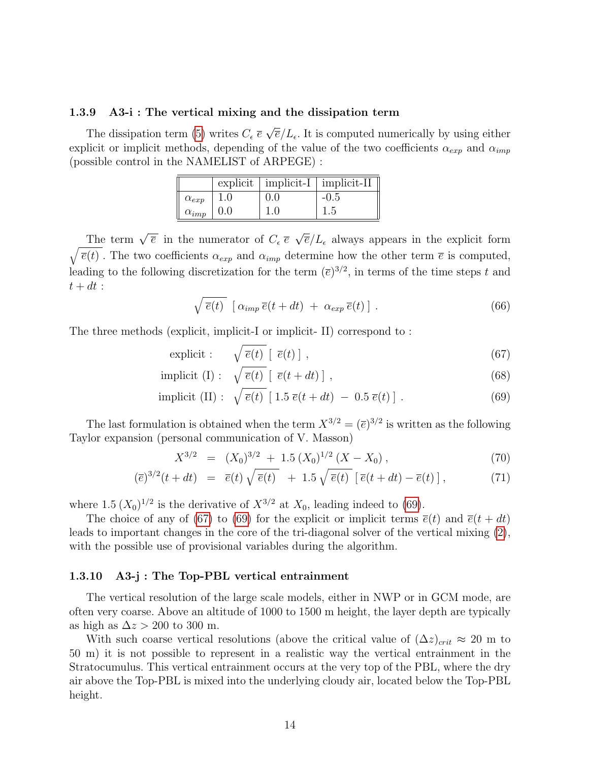#### 1.3.9 A3-i : The vertical mixing and the dissipation term

The dissipation term [\(5\)](#page-3-1) writes  $C_{\epsilon} \bar{e}$ √  $\overline{e}/L_{\epsilon}$ . It is computed numerically by using either explicit or implicit methods, depending of the value of the two coefficients  $\alpha_{exp}$  and  $\alpha_{imp}$ (possible control in the NAMELIST of ARPEGE) :

|                        |     |     | $\alpha$ explicit   implicit-I   implicit-II |
|------------------------|-----|-----|----------------------------------------------|
| $\alpha_{exp}$         | 1.0 | 0.0 | $-0.5$                                       |
| $\alpha_{imp}$   $0.0$ |     | 1.0 | 1.5                                          |

The term  $\sqrt{\overline{e}}$  in the numerator of  $C_{\epsilon} \overline{e}$ √  $\sqrt{\overline{e}(t)}$ . The two coefficients  $\alpha_{exp}$  and  $\alpha_{imp}$  determine how the other term  $\overline{e}$  is computed,  $\overline{e}/L_{\epsilon}$  always appears in the explicit form leading to the following discretization for the term  $(\bar{e})^{3/2}$ , in terms of the time steps t and  $t + dt$ :

$$
\sqrt{\overline{e}(t)} \left[ \alpha_{imp} \overline{e}(t+dt) + \alpha_{exp} \overline{e}(t) \right]. \tag{66}
$$

The three methods (explicit, implicit-I or implicit- II) correspond to :

- <span id="page-13-0"></span>explicit :  $\sqrt{\overline{e}(t)} [\overline{e}(t)]$ , (67)
- implicit (I) :  $\sqrt{\overline{e}(t)}$   $\lceil \overline{e}(t + dt) \rceil$ , (68)

implicit (II): 
$$
\sqrt{\overline{e}(t)}
$$
 [1.5  $\overline{e}(t+dt)$  - 0.5  $\overline{e}(t)$ ]. (69)

The last formulation is obtained when the term  $X^{3/2} = (\bar{e})^{3/2}$  is written as the following Taylor expansion (personal communication of V. Masson)

$$
X^{3/2} = (X_0)^{3/2} + 1.5 (X_0)^{1/2} (X - X_0), \tag{70}
$$

$$
(\overline{e})^{3/2}(t+dt) = \overline{e}(t)\sqrt{\overline{e}(t)} + 1.5\sqrt{\overline{e}(t)} [\overline{e}(t+dt) - \overline{e}(t)], \qquad (71)
$$

where 1.5  $(X_0)^{1/2}$  is the derivative of  $X^{3/2}$  at  $X_0$ , leading indeed to [\(69\)](#page-13-0).

The choice of any of [\(67\)](#page-13-0) to [\(69\)](#page-13-0) for the explicit or implicit terms  $\bar{e}(t)$  and  $\bar{e}(t+dt)$ leads to important changes in the core of the tri-diagonal solver of the vertical mixing [\(2\)](#page-3-1), with the possible use of provisional variables during the algorithm.

### <span id="page-13-1"></span>1.3.10 A3-j : The Top-PBL vertical entrainment

The vertical resolution of the large scale models, either in NWP or in GCM mode, are often very coarse. Above an altitude of 1000 to 1500 m height, the layer depth are typically as high as  $\Delta z > 200$  to 300 m.

With such coarse vertical resolutions (above the critical value of  $(\Delta z)_{crit} \approx 20$  m to 50 m) it is not possible to represent in a realistic way the vertical entrainment in the Stratocumulus. This vertical entrainment occurs at the very top of the PBL, where the dry air above the Top-PBL is mixed into the underlying cloudy air, located below the Top-PBL height.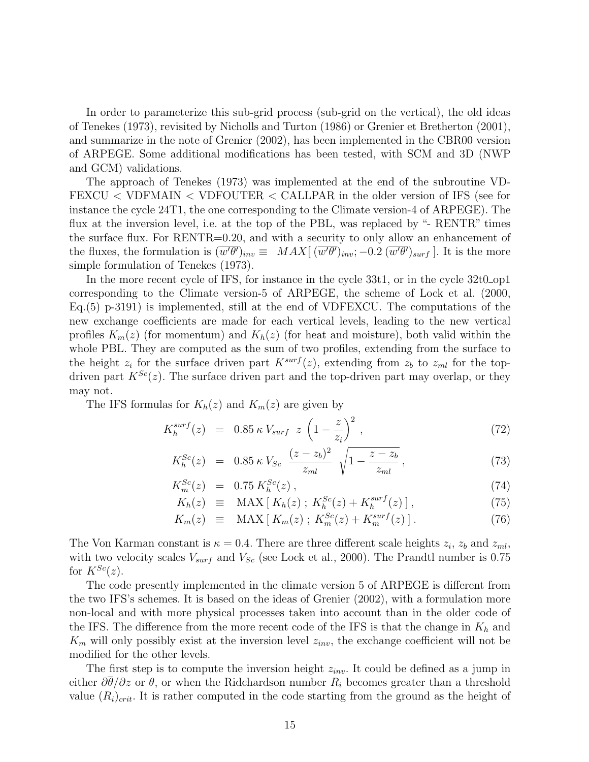In order to parameterize this sub-grid process (sub-grid on the vertical), the old ideas of Tenekes (1973), revisited by Nicholls and Turton (1986) or Grenier et Bretherton (2001), and summarize in the note of Grenier (2002), has been implemented in the CBR00 version of ARPEGE. Some additional modifications has been tested, with SCM and 3D (NWP and GCM) validations.

The approach of Tenekes (1973) was implemented at the end of the subroutine VD-FEXCU < VDFMAIN < VDFOUTER < CALLPAR in the older version of IFS (see for instance the cycle 24T1, the one corresponding to the Climate version-4 of ARPEGE). The flux at the inversion level, i.e. at the top of the PBL, was replaced by "- RENTR" times the surface flux. For RENTR=0.20, and with a security to only allow an enhancement of the fluxes, the formulation is  $(\overline{w'\theta'})_{inv} \equiv MAX[ (\overline{w'\theta'})_{inv}; -0.2 (\overline{w'\theta'})_{surf}]$ . It is the more simple formulation of Tenekes (1973).

In the more recent cycle of IFS, for instance in the cycle 33t1, or in the cycle 32t0\_op1 corresponding to the Climate version-5 of ARPEGE, the scheme of Lock et al. (2000, Eq.(5) p-3191) is implemented, still at the end of VDFEXCU. The computations of the new exchange coefficients are made for each vertical levels, leading to the new vertical profiles  $K_m(z)$  (for momentum) and  $K_h(z)$  (for heat and moisture), both valid within the whole PBL. They are computed as the sum of two profiles, extending from the surface to the height  $z_i$  for the surface driven part  $K^{surf}(z)$ , extending from  $z_b$  to  $z_{ml}$  for the topdriven part  $K^{Sc}(z)$ . The surface driven part and the top-driven part may overlap, or they may not.

The IFS formulas for  $K_h(z)$  and  $K_m(z)$  are given by

$$
K_h^{surf}(z) = 0.85 \,\kappa \, V_{surf} \, z \left(1 - \frac{z}{z_i}\right)^2, \tag{72}
$$

$$
K_h^{Sc}(z) = 0.85 \,\kappa \, V_{Sc} \, \frac{(z - z_b)^2}{z_{ml}} \, \sqrt{1 - \frac{z - z_b}{z_{ml}}},\tag{73}
$$

$$
K_m^{Sc}(z) = 0.75 K_h^{Sc}(z) , \qquad (74)
$$

$$
K_h(z) \equiv \text{MAX}\left[K_h(z)\,;\, K_h^{Sc}(z) + K_h^{surf}(z)\,\right],\tag{75}
$$

$$
K_m(z) \equiv \text{MAX}\left[K_m(z)\,;\, K_m^{Sc}(z) + K_m^{surf}(z)\right].\tag{76}
$$

The Von Karman constant is  $\kappa = 0.4$ . There are three different scale heights  $z_i$ ,  $z_b$  and  $z_{ml}$ , with two velocity scales  $V_{surf}$  and  $V_{Sc}$  (see Lock et al., 2000). The Prandtl number is 0.75 for  $K^{Sc}(z)$ .

The code presently implemented in the climate version 5 of ARPEGE is different from the two IFS's schemes. It is based on the ideas of Grenier (2002), with a formulation more non-local and with more physical processes taken into account than in the older code of the IFS. The difference from the more recent code of the IFS is that the change in  $K_h$  and  $K_m$  will only possibly exist at the inversion level  $z_{inv}$ , the exchange coefficient will not be modified for the other levels.

The first step is to compute the inversion height  $z_{inv}$ . It could be defined as a jump in either  $\partial\theta/\partial z$  or  $\theta$ , or when the Ridchardson number  $R_i$  becomes greater than a threshold value  $(R_i)_{crit}$ . It is rather computed in the code starting from the ground as the height of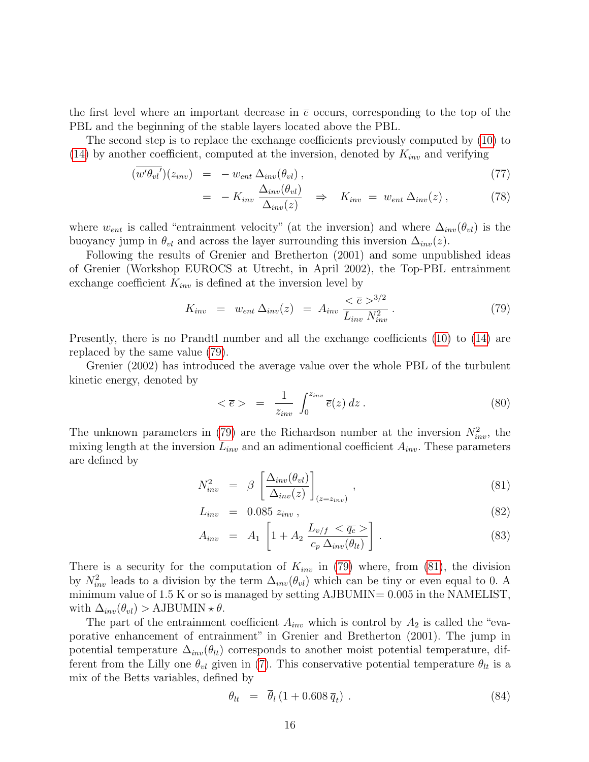the first level where an important decrease in  $\bar{e}$  occurs, corresponding to the top of the PBL and the beginning of the stable layers located above the PBL.

The second step is to replace the exchange coefficients previously computed by [\(10\)](#page-4-0) to [\(14\)](#page-4-0) by another coefficient, computed at the inversion, denoted by  $K_{inv}$  and verifying

$$
(\overline{w'\theta_{vl}}')(z_{inv}) = -w_{ent} \Delta_{inv}(\theta_{vl}), \qquad (77)
$$

$$
= -K_{inv} \frac{\Delta_{inv}(\theta_{vl})}{\Delta_{inv}(z)} \Rightarrow K_{inv} = w_{ent} \Delta_{inv}(z) , \qquad (78)
$$

where  $w_{ent}$  is called "entrainment velocity" (at the inversion) and where  $\Delta_{inv}(\theta_{vl})$  is the buoyancy jump in  $\theta_{vl}$  and across the layer surrounding this inversion  $\Delta_{inv}(z)$ .

Following the results of Grenier and Bretherton (2001) and some unpublished ideas of Grenier (Workshop EUROCS at Utrecht, in April 2002), the Top-PBL entrainment exchange coefficient  $K_{inv}$  is defined at the inversion level by

<span id="page-15-0"></span>
$$
K_{inv} = w_{ent} \,\Delta_{inv}(z) = A_{inv} \,\frac{<\bar{e}>^{3/2}}{L_{inv} \,N_{inv}^2} \,. \tag{79}
$$

Presently, there is no Prandtl number and all the exchange coefficients [\(10\)](#page-4-0) to [\(14\)](#page-4-0) are replaced by the same value [\(79\)](#page-15-0).

Grenier (2002) has introduced the average value over the whole PBL of the turbulent kinetic energy, denoted by

<span id="page-15-2"></span>
$$
\langle \bar{e} \rangle = \frac{1}{z_{inv}} \int_0^{z_{inv}} \bar{e}(z) dz . \tag{80}
$$

The unknown parameters in [\(79\)](#page-15-0) are the Richardson number at the inversion  $N_{inv}^2$ , the mixing length at the inversion  $L_{inv}$  and an adimentional coefficient  $A_{inv}$ . These parameters are defined by

$$
N_{inv}^2 = \beta \left[ \frac{\Delta_{inv}(\theta_{vl})}{\Delta_{inv}(z)} \right]_{(z=z_{inv})}, \qquad (81)
$$

<span id="page-15-1"></span>
$$
L_{inv} = 0.085 z_{inv}, \t\t(82)
$$

$$
A_{inv} = A_1 \left[ 1 + A_2 \frac{L_{v/f} < \overline{q_c} >}{c_p \Delta_{inv}(\theta_{lt})} \right] \,. \tag{83}
$$

There is a security for the computation of  $K_{inv}$  in [\(79\)](#page-15-0) where, from [\(81\)](#page-15-1), the division by  $N_{inv}^2$  leads to a division by the term  $\Delta_{inv}(\theta_{vl})$  which can be tiny or even equal to 0. A minimum value of  $1.5$  K or so is managed by setting AJBUMIN=  $0.005$  in the NAMELIST, with  $\Delta_{inv}(\theta_{vl}) > \text{AJBUMIN} \star \theta$ .

The part of the entrainment coefficient  $A_{inv}$  which is control by  $A_2$  is called the "evaporative enhancement of entrainment" in Grenier and Bretherton (2001). The jump in potential temperature  $\Delta_{inv}(\theta_{lt})$  corresponds to another moist potential temperature, different from the Lilly one  $\theta_{vl}$  given in [\(7\)](#page-3-0). This conservative potential temperature  $\theta_{lt}$  is a mix of the Betts variables, defined by

<span id="page-15-3"></span>
$$
\theta_{lt} = \overline{\theta}_l \left( 1 + 0.608 \overline{q}_t \right) . \tag{84}
$$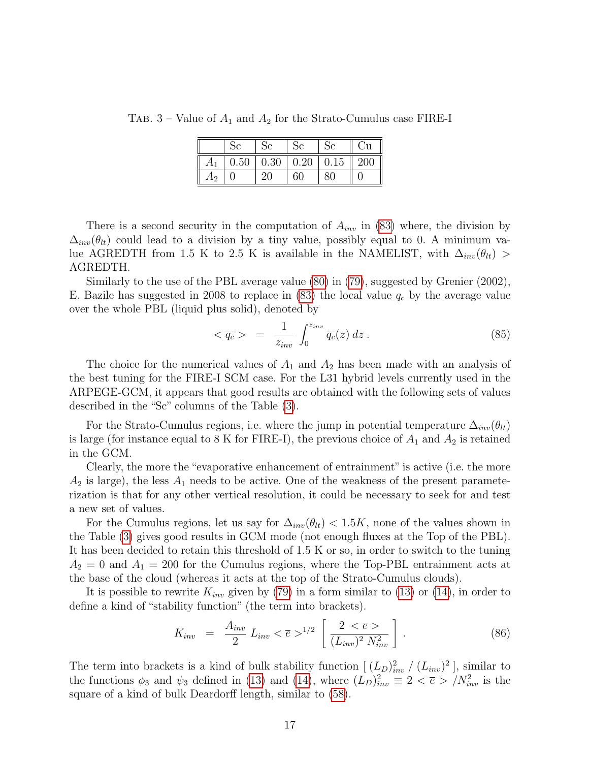TAB. 3 – Value of  $A_1$  and  $A_2$  for the Strato-Cumulus case FIRE-I

<span id="page-16-0"></span>

|    |      |      |      |      | ĴЦ  |
|----|------|------|------|------|-----|
|    | 0.50 | 0.30 | 0.20 | 0.15 | 200 |
| А2 |      | 20   |      |      |     |

There is a second security in the computation of  $A_{inv}$  in [\(83\)](#page-15-1) where, the division by  $\Delta_{inv}(\theta_{lt})$  could lead to a division by a tiny value, possibly equal to 0. A minimum value AGREDTH from 1.5 K to 2.5 K is available in the NAMELIST, with  $\Delta_{inv}(\theta_{lt})$ AGREDTH.

Similarly to the use of the PBL average value [\(80\)](#page-15-2) in [\(79\)](#page-15-0), suggested by Grenier (2002), E. Bazile has suggested in 2008 to replace in  $(83)$  the local value  $q_c$  by the average value over the whole PBL (liquid plus solid), denoted by

$$
\langle \overline{q_c} \rangle = \frac{1}{z_{inv}} \int_0^{z_{inv}} \overline{q_c}(z) dz.
$$
 (85)

The choice for the numerical values of  $A_1$  and  $A_2$  has been made with an analysis of the best tuning for the FIRE-I SCM case. For the L31 hybrid levels currently used in the ARPEGE-GCM, it appears that good results are obtained with the following sets of values described in the "Sc" columns of the Table [\(3\)](#page-16-0).

For the Strato-Cumulus regions, i.e. where the jump in potential temperature  $\Delta_{inv}(\theta_{lt})$ is large (for instance equal to 8 K for FIRE-I), the previous choice of  $A_1$  and  $A_2$  is retained in the GCM.

Clearly, the more the "evaporative enhancement of entrainment" is active (i.e. the more  $A_2$  is large), the less  $A_1$  needs to be active. One of the weakness of the present parameterization is that for any other vertical resolution, it could be necessary to seek for and test a new set of values.

For the Cumulus regions, let us say for  $\Delta_{inv}(\theta_{lt}) < 1.5K$ , none of the values shown in the Table [\(3\)](#page-16-0) gives good results in GCM mode (not enough fluxes at the Top of the PBL). It has been decided to retain this threshold of 1.5 K or so, in order to switch to the tuning  $A_2 = 0$  and  $A_1 = 200$  for the Cumulus regions, where the Top-PBL entrainment acts at the base of the cloud (whereas it acts at the top of the Strato-Cumulus clouds).

It is possible to rewrite  $K_{inv}$  given by [\(79\)](#page-15-0) in a form similar to [\(13\)](#page-4-0) or [\(14\)](#page-4-0), in order to define a kind of "stability function" (the term into brackets).

$$
K_{inv} = \frac{A_{inv}}{2} L_{inv} < \bar{e} >^{1/2} \left[ \frac{2 < \bar{e} >}{(L_{inv})^2 N_{inv}^2} \right].
$$
 (86)

The term into brackets is a kind of bulk stability function  $[(L_D)_{inv}^2 / (L_{inv})^2]$ , similar to the functions  $\phi_3$  and  $\psi_3$  defined in [\(13\)](#page-4-0) and [\(14\)](#page-4-0), where  $(L_D)_{inv}^2 \equiv 2 < \bar{e} > /N_{inv}^2$  is the square of a kind of bulk Deardorff length, similar to [\(58\)](#page-11-3).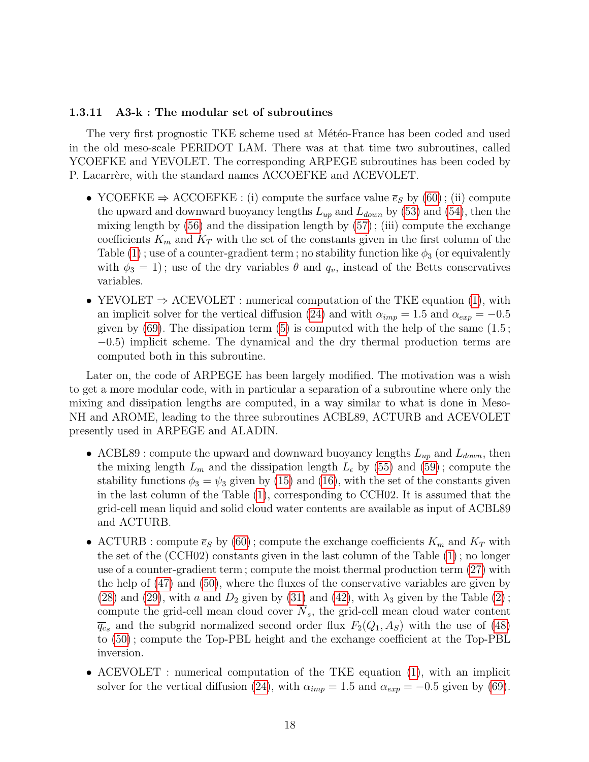### 1.3.11 A3-k : The modular set of subroutines

The very first prognostic TKE scheme used at Météo-France has been coded and used in the old meso-scale PERIDOT LAM. There was at that time two subroutines, called YCOEFKE and YEVOLET. The corresponding ARPEGE subroutines has been coded by P. Lacarrère, with the standard names ACCOEFKE and ACEVOLET.

- YCOEFKE  $\Rightarrow$  ACCOEFKE : (i) compute the surface value  $\overline{e}_S$  by [\(60\)](#page-12-0); (ii) compute the upward and downward buoyancy lengths  $L_{up}$  and  $L_{down}$  by [\(53\)](#page-10-1) and [\(54\)](#page-10-1), then the mixing length by [\(56\)](#page-11-0) and the dissipation length by [\(57\)](#page-11-0) ; (iii) compute the exchange coefficients  $K_m$  and  $K_T$  with the set of the constants given in the first column of the Table [\(1\)](#page-6-0); use of a counter-gradient term; no stability function like  $\phi_3$  (or equivalently with  $\phi_3 = 1$ ); use of the dry variables  $\theta$  and  $q_v$ , instead of the Betts conservatives variables.
- YEVOLET  $\Rightarrow$  ACEVOLET : numerical computation of the TKE equation [\(1\)](#page-3-1), with an implicit solver for the vertical diffusion [\(24\)](#page-6-1) and with  $\alpha_{imp} = 1.5$  and  $\alpha_{exp} = -0.5$ given by  $(69)$ . The dissipation term  $(5)$  is computed with the help of the same  $(1.5)$ ; −0.5) implicit scheme. The dynamical and the dry thermal production terms are computed both in this subroutine.

Later on, the code of ARPEGE has been largely modified. The motivation was a wish to get a more modular code, with in particular a separation of a subroutine where only the mixing and dissipation lengths are computed, in a way similar to what is done in Meso-NH and AROME, leading to the three subroutines ACBL89, ACTURB and ACEVOLET presently used in ARPEGE and ALADIN.

- ACBL89 : compute the upward and downward buoyancy lengths  $L_{up}$  and  $L_{down}$ , then the mixing length  $L_m$  and the dissipation length  $L_{\epsilon}$  by [\(55\)](#page-11-1) and [\(59\)](#page-11-2); compute the stability functions  $\phi_3 = \psi_3$  given by [\(15\)](#page-4-1) and [\(16\)](#page-4-2), with the set of the constants given in the last column of the Table [\(1\)](#page-6-0), corresponding to CCH02. It is assumed that the grid-cell mean liquid and solid cloud water contents are available as input of ACBL89 and ACTURB.
- ACTURB : compute  $\bar{e}_S$  by [\(60\)](#page-12-0); compute the exchange coefficients  $K_m$  and  $K_T$  with the set of the (CCH02) constants given in the last column of the Table [\(1\)](#page-6-0) ; no longer use of a counter-gradient term ; compute the moist thermal production term [\(27\)](#page-7-0) with the help of [\(47\)](#page-9-4) and [\(50\)](#page-9-5), where the fluxes of the conservative variables are given by [\(28\)](#page-7-3) and [\(29\)](#page-7-3), with a and  $D_2$  given by [\(31\)](#page-7-2) and [\(42\)](#page-9-0), with  $\lambda_3$  given by the Table [\(2\)](#page-10-0); compute the grid-cell mean cloud cover  $N_s$ , the grid-cell mean cloud water content  $\overline{q_c}$  and the subgrid normalized second order flux  $F_2(Q_1, A_S)$  with the use of [\(48\)](#page-9-5) to [\(50\)](#page-9-5) ; compute the Top-PBL height and the exchange coefficient at the Top-PBL inversion.
- ACEVOLET : numerical computation of the TKE equation [\(1\)](#page-3-1), with an implicit solver for the vertical diffusion [\(24\)](#page-6-1), with  $\alpha_{imp} = 1.5$  and  $\alpha_{exp} = -0.5$  given by [\(69\)](#page-13-0).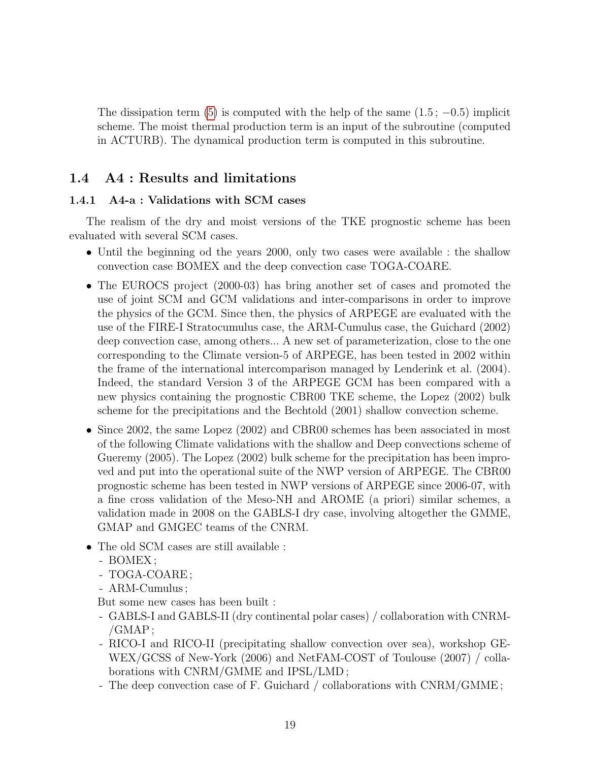The dissipation term [\(5\)](#page-3-1) is computed with the help of the same  $(1.5; -0.5)$  implicit scheme. The moist thermal production term is an input of the subroutine (computed in ACTURB). The dynamical production term is computed in this subroutine.

# 1.4 A4 : Results and limitations

# 1.4.1 A4-a : Validations with SCM cases

The realism of the dry and moist versions of the TKE prognostic scheme has been evaluated with several SCM cases.

- Until the beginning od the years 2000, only two cases were available : the shallow convection case BOMEX and the deep convection case TOGA-COARE.
- The EUROCS project (2000-03) has bring another set of cases and promoted the use of joint SCM and GCM validations and inter-comparisons in order to improve the physics of the GCM. Since then, the physics of ARPEGE are evaluated with the use of the FIRE-I Stratocumulus case, the ARM-Cumulus case, the Guichard (2002) deep convection case, among others... A new set of parameterization, close to the one corresponding to the Climate version-5 of ARPEGE, has been tested in 2002 within the frame of the international intercomparison managed by Lenderink et al. (2004). Indeed, the standard Version 3 of the ARPEGE GCM has been compared with a new physics containing the prognostic CBR00 TKE scheme, the Lopez (2002) bulk scheme for the precipitations and the Bechtold (2001) shallow convection scheme.
- Since 2002, the same Lopez (2002) and CBR00 schemes has been associated in most of the following Climate validations with the shallow and Deep convections scheme of Gueremy (2005). The Lopez (2002) bulk scheme for the precipitation has been improved and put into the operational suite of the NWP version of ARPEGE. The CBR00 prognostic scheme has been tested in NWP versions of ARPEGE since 2006-07, with a fine cross validation of the Meso-NH and AROME (a priori) similar schemes, a validation made in 2008 on the GABLS-I dry case, involving altogether the GMME, GMAP and GMGEC teams of the CNRM.
- The old SCM cases are still available :
	- BOMEX ;
	- TOGA-COARE ;
	- ARM-Cumulus ;

But some new cases has been built :

- GABLS-I and GABLS-II (dry continental polar cases) / collaboration with CNRM-  $/GMAP;$
- RICO-I and RICO-II (precipitating shallow convection over sea), workshop GE-WEX/GCSS of New-York (2006) and NetFAM-COST of Toulouse (2007) / collaborations with CNRM/GMME and IPSL/LMD ;
- The deep convection case of F. Guichard / collaborations with CNRM/GMME ;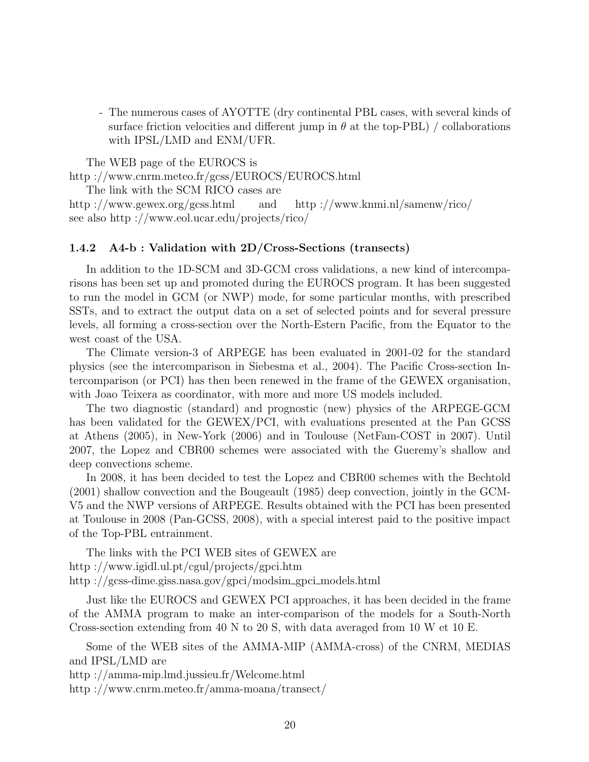- The numerous cases of AYOTTE (dry continental PBL cases, with several kinds of surface friction velocities and different jump in  $\theta$  at the top-PBL) / collaborations with IPSL/LMD and ENM/UFR.

The WEB page of the EUROCS is http ://www.cnrm.meteo.fr/gcss/EUROCS/EUROCS.html

The link with the SCM RICO cases are

http ://www.gewex.org/gcss.html and http ://www.knmi.nl/samenw/rico/ see also http ://www.eol.ucar.edu/projects/rico/

# 1.4.2 A4-b : Validation with 2D/Cross-Sections (transects)

In addition to the 1D-SCM and 3D-GCM cross validations, a new kind of intercomparisons has been set up and promoted during the EUROCS program. It has been suggested to run the model in GCM (or NWP) mode, for some particular months, with prescribed SSTs, and to extract the output data on a set of selected points and for several pressure levels, all forming a cross-section over the North-Estern Pacific, from the Equator to the west coast of the USA.

The Climate version-3 of ARPEGE has been evaluated in 2001-02 for the standard physics (see the intercomparison in Siebesma et al., 2004). The Pacific Cross-section Intercomparison (or PCI) has then been renewed in the frame of the GEWEX organisation, with Joao Teixera as coordinator, with more and more US models included.

The two diagnostic (standard) and prognostic (new) physics of the ARPEGE-GCM has been validated for the GEWEX/PCI, with evaluations presented at the Pan GCSS at Athens (2005), in New-York (2006) and in Toulouse (NetFam-COST in 2007). Until 2007, the Lopez and CBR00 schemes were associated with the Gueremy's shallow and deep convections scheme.

In 2008, it has been decided to test the Lopez and CBR00 schemes with the Bechtold (2001) shallow convection and the Bougeault (1985) deep convection, jointly in the GCM-V5 and the NWP versions of ARPEGE. Results obtained with the PCI has been presented at Toulouse in 2008 (Pan-GCSS, 2008), with a special interest paid to the positive impact of the Top-PBL entrainment.

The links with the PCI WEB sites of GEWEX are http ://www.igidl.ul.pt/cgul/projects/gpci.htm http ://gcss-dime.giss.nasa.gov/gpci/modsim\_gpci\_models.html

Just like the EUROCS and GEWEX PCI approaches, it has been decided in the frame of the AMMA program to make an inter-comparison of the models for a South-North Cross-section extending from 40 N to 20 S, with data averaged from 10 W et 10 E.

Some of the WEB sites of the AMMA-MIP (AMMA-cross) of the CNRM, MEDIAS and IPSL/LMD are

http ://amma-mip.lmd.jussieu.fr/Welcome.html

http ://www.cnrm.meteo.fr/amma-moana/transect/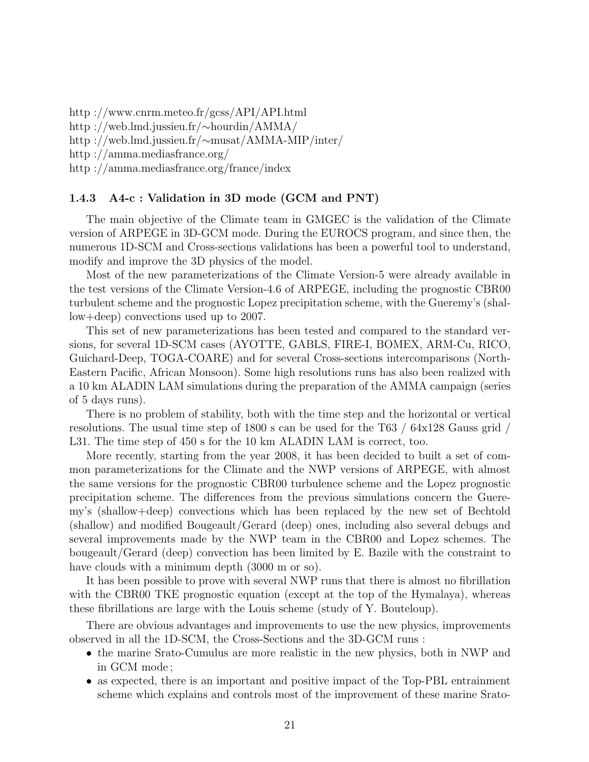http ://www.cnrm.meteo.fr/gcss/API/API.html http ://web.lmd.jussieu.fr/∼hourdin/AMMA/ http ://web.lmd.jussieu.fr/∼musat/AMMA-MIP/inter/ http ://amma.mediasfrance.org/ http ://amma.mediasfrance.org/france/index

# 1.4.3 A4-c : Validation in 3D mode (GCM and PNT)

The main objective of the Climate team in GMGEC is the validation of the Climate version of ARPEGE in 3D-GCM mode. During the EUROCS program, and since then, the numerous 1D-SCM and Cross-sections validations has been a powerful tool to understand, modify and improve the 3D physics of the model.

Most of the new parameterizations of the Climate Version-5 were already available in the test versions of the Climate Version-4.6 of ARPEGE, including the prognostic CBR00 turbulent scheme and the prognostic Lopez precipitation scheme, with the Gueremy's (shallow+deep) convections used up to 2007.

This set of new parameterizations has been tested and compared to the standard versions, for several 1D-SCM cases (AYOTTE, GABLS, FIRE-I, BOMEX, ARM-Cu, RICO, Guichard-Deep, TOGA-COARE) and for several Cross-sections intercomparisons (North-Eastern Pacific, African Monsoon). Some high resolutions runs has also been realized with a 10 km ALADIN LAM simulations during the preparation of the AMMA campaign (series of 5 days runs).

There is no problem of stability, both with the time step and the horizontal or vertical resolutions. The usual time step of 1800 s can be used for the T63 / 64x128 Gauss grid / L31. The time step of 450 s for the 10 km ALADIN LAM is correct, too.

More recently, starting from the year 2008, it has been decided to built a set of common parameterizations for the Climate and the NWP versions of ARPEGE, with almost the same versions for the prognostic CBR00 turbulence scheme and the Lopez prognostic precipitation scheme. The differences from the previous simulations concern the Gueremy's (shallow+deep) convections which has been replaced by the new set of Bechtold (shallow) and modified Bougeault/Gerard (deep) ones, including also several debugs and several improvements made by the NWP team in the CBR00 and Lopez schemes. The bougeault/Gerard (deep) convection has been limited by E. Bazile with the constraint to have clouds with a minimum depth  $(3000 \text{ m or so}).$ 

It has been possible to prove with several NWP runs that there is almost no fibrillation with the CBR00 TKE prognostic equation (except at the top of the Hymalaya), whereas these fibrillations are large with the Louis scheme (study of Y. Bouteloup).

There are obvious advantages and improvements to use the new physics, improvements observed in all the 1D-SCM, the Cross-Sections and the 3D-GCM runs :

- the marine Srato-Cumulus are more realistic in the new physics, both in NWP and in GCM mode ;
- as expected, there is an important and positive impact of the Top-PBL entrainment scheme which explains and controls most of the improvement of these marine Srato-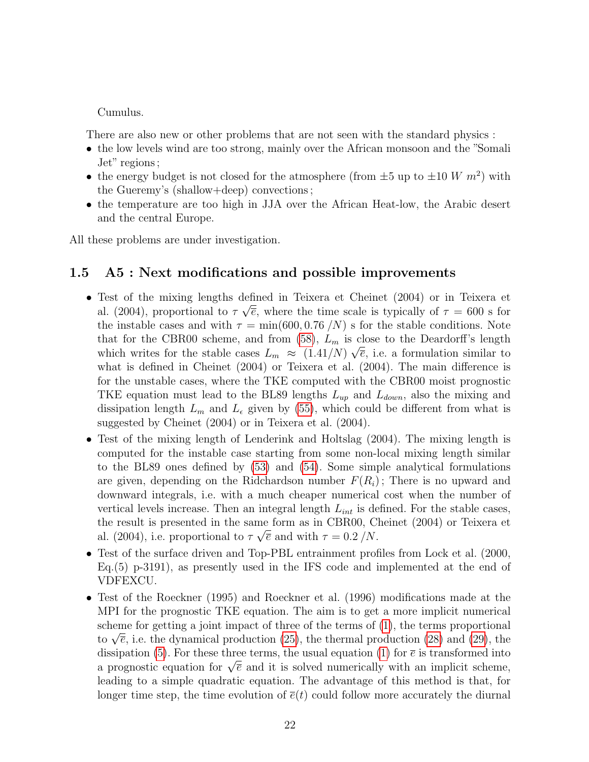Cumulus.

There are also new or other problems that are not seen with the standard physics :

- the low levels wind are too strong, mainly over the African monsoon and the "Somali Jet" regions ;
- the energy budget is not closed for the atmosphere (from  $\pm 5$  up to  $\pm 10$  W  $m^2$ ) with the Gueremy's (shallow+deep) convections ;
- the temperature are too high in JJA over the African Heat-low, the Arabic desert and the central Europe.

All these problems are under investigation.

# <span id="page-21-0"></span>1.5 A5 : Next modifications and possible improvements

- Test of the mixing lengths defined in Teixera et Cheinet (2004) or in Teixera et √ al. (2004), proportional to  $\tau \sqrt{\overline{e}}$ , where the time scale is typically of  $\tau = 600$  s for the instable cases and with  $\tau = \min(600, 0.76 / N)$  s for the stable conditions. Note that for the CBR00 scheme, and from  $(58)$ ,  $L_m$  is close to the Deardorff's length which writes for the stable cases  $L_m \approx (1.41/N) \sqrt{\overline{e}}$ , i.e. a formulation similar to what is defined in Cheinet (2004) or Teixera et al. (2004). The main difference is for the unstable cases, where the TKE computed with the CBR00 moist prognostic TKE equation must lead to the BL89 lengths  $L_{up}$  and  $L_{down}$ , also the mixing and dissipation length  $L_m$  and  $L_{\epsilon}$  given by [\(55\)](#page-11-1), which could be different from what is suggested by Cheinet (2004) or in Teixera et al. (2004).
- Test of the mixing length of Lenderink and Holtslag (2004). The mixing length is computed for the instable case starting from some non-local mixing length similar to the BL89 ones defined by [\(53\)](#page-10-1) and [\(54\)](#page-10-1). Some simple analytical formulations are given, depending on the Ridchardson number  $F(R_i)$ ; There is no upward and downward integrals, i.e. with a much cheaper numerical cost when the number of vertical levels increase. Then an integral length  $L_{int}$  is defined. For the stable cases, the result is presented in the same form as in CBR00, Cheinet (2004) or Teixera et √ al. (2004), i.e. proportional to  $\tau \sqrt{\overline{e}}$  and with  $\tau = 0.2 / N$ .
- Test of the surface driven and Top-PBL entrainment profiles from Lock et al. (2000, Eq.(5) p-3191), as presently used in the IFS code and implemented at the end of VDFEXCU.
- Test of the Roeckner (1995) and Roeckner et al. (1996) modifications made at the MPI for the prognostic TKE equation. The aim is to get a more implicit numerical scheme for getting a joint impact of three of the terms of [\(1\)](#page-3-1), the terms proportional scheme for getting a joint impact of three of the terms of  $(1)$ , the terms proportional to  $\sqrt{\overline{e}}$ , i.e. the dynamical production  $(25)$ , the thermal production  $(28)$  and  $(29)$ , the dissipation [\(5\)](#page-3-1). For these three terms, the usual equation [\(1\)](#page-3-1) for  $\bar{e}$  is transformed into dissipation (3), for these three terms, the usual equation (1) for e is transformed into<br>a prognostic equation for  $\sqrt{\overline{e}}$  and it is solved numerically with an implicit scheme, leading to a simple quadratic equation. The advantage of this method is that, for longer time step, the time evolution of  $\bar{e}(t)$  could follow more accurately the diurnal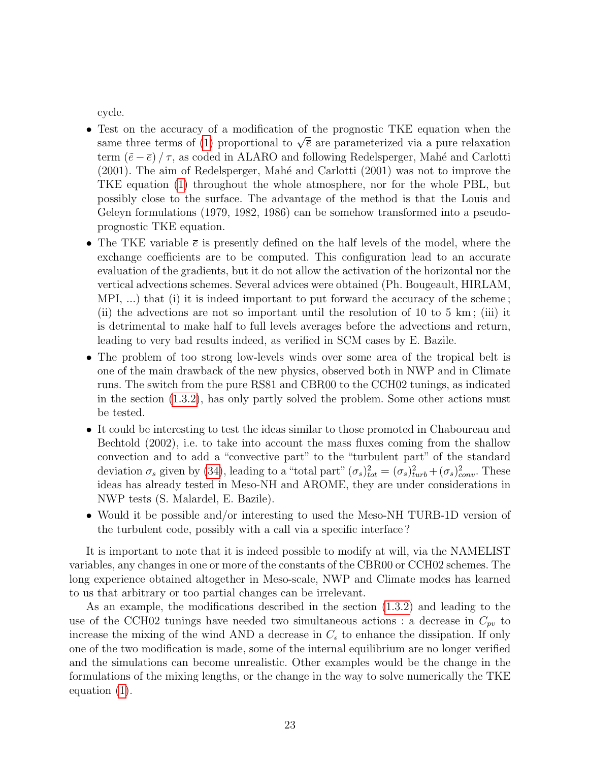cycle.

- Test on the accuracy of a modification of the prognostic TKE equation when the Test on the accuracy of a modification of the prognostic TKE equation when the same three terms of [\(1\)](#page-3-1) proportional to  $\sqrt{\overline{e}}$  are parameterized via a pure relaxation term  $(\tilde{e} - \overline{e})/\tau$ , as coded in ALARO and following Redelsperger, Mahé and Carlotti  $(2001)$ . The aim of Redelsperger, Mahé and Carlotti  $(2001)$  was not to improve the TKE equation [\(1\)](#page-3-1) throughout the whole atmosphere, nor for the whole PBL, but possibly close to the surface. The advantage of the method is that the Louis and Geleyn formulations (1979, 1982, 1986) can be somehow transformed into a pseudoprognostic TKE equation.
- The TKE variable  $\bar{e}$  is presently defined on the half levels of the model, where the exchange coefficients are to be computed. This configuration lead to an accurate evaluation of the gradients, but it do not allow the activation of the horizontal nor the vertical advections schemes. Several advices were obtained (Ph. Bougeault, HIRLAM, MPI, ...) that (i) it is indeed important to put forward the accuracy of the scheme ; (ii) the advections are not so important until the resolution of 10 to 5 km ; (iii) it is detrimental to make half to full levels averages before the advections and return, leading to very bad results indeed, as verified in SCM cases by E. Bazile.
- The problem of too strong low-levels winds over some area of the tropical belt is one of the main drawback of the new physics, observed both in NWP and in Climate runs. The switch from the pure RS81 and CBR00 to the CCH02 tunings, as indicated in the section [\(1.3.2\)](#page-4-3), has only partly solved the problem. Some other actions must be tested.
- It could be interesting to test the ideas similar to those promoted in Chaboureau and Bechtold (2002), i.e. to take into account the mass fluxes coming from the shallow convection and to add a "convective part" to the "turbulent part" of the standard deviation  $\sigma_s$  given by [\(34\)](#page-7-1), leading to a "total part"  $(\sigma_s)_{tot}^2 = (\sigma_s)_{turb}^2 + (\sigma_s)_{conv}^2$ . These ideas has already tested in Meso-NH and AROME, they are under considerations in NWP tests (S. Malardel, E. Bazile).
- Would it be possible and/or interesting to used the Meso-NH TURB-1D version of the turbulent code, possibly with a call via a specific interface ?

It is important to note that it is indeed possible to modify at will, via the NAMELIST variables, any changes in one or more of the constants of the CBR00 or CCH02 schemes. The long experience obtained altogether in Meso-scale, NWP and Climate modes has learned to us that arbitrary or too partial changes can be irrelevant.

As an example, the modifications described in the section [\(1.3.2\)](#page-4-3) and leading to the use of the CCH02 tunings have needed two simultaneous actions : a decrease in  $C_{pv}$  to increase the mixing of the wind AND a decrease in  $C_{\epsilon}$  to enhance the dissipation. If only one of the two modification is made, some of the internal equilibrium are no longer verified and the simulations can become unrealistic. Other examples would be the change in the formulations of the mixing lengths, or the change in the way to solve numerically the TKE equation [\(1\)](#page-3-1).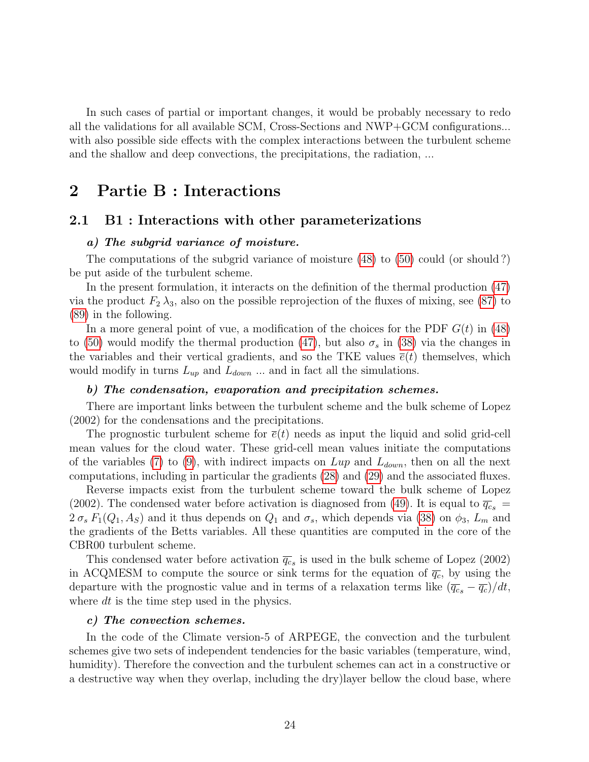In such cases of partial or important changes, it would be probably necessary to redo all the validations for all available SCM, Cross-Sections and NWP+GCM configurations... with also possible side effects with the complex interactions between the turbulent scheme and the shallow and deep convections, the precipitations, the radiation, ...

# 2 Partie B : Interactions

# 2.1 B1 : Interactions with other parameterizations

# a) The subgrid variance of moisture.

The computations of the subgrid variance of moisture [\(48\)](#page-9-5) to [\(50\)](#page-9-5) could (or should ?) be put aside of the turbulent scheme.

In the present formulation, it interacts on the definition of the thermal production [\(47\)](#page-9-4) via the product  $F_2 \lambda_3$ , also on the possible reprojection of the fluxes of mixing, see [\(87\)](#page-26-0) to [\(89\)](#page-26-0) in the following.

In a more general point of vue, a modification of the choices for the PDF  $G(t)$  in [\(48\)](#page-9-5) to [\(50\)](#page-9-5) would modify the thermal production [\(47\)](#page-9-4), but also  $\sigma_s$  in [\(38\)](#page-8-1) via the changes in the variables and their vertical gradients, and so the TKE values  $\bar{e}(t)$  themselves, which would modify in turns  $L_{up}$  and  $L_{down}$ ... and in fact all the simulations.

#### b) The condensation, evaporation and precipitation schemes.

There are important links between the turbulent scheme and the bulk scheme of Lopez (2002) for the condensations and the precipitations.

The prognostic turbulent scheme for  $\bar{e}(t)$  needs as input the liquid and solid grid-cell mean values for the cloud water. These grid-cell mean values initiate the computations of the variables [\(7\)](#page-3-0) to [\(9\)](#page-3-2), with indirect impacts on  $Lup$  and  $L_{down}$ , then on all the next computations, including in particular the gradients [\(28\)](#page-7-3) and [\(29\)](#page-7-3) and the associated fluxes.

Reverse impacts exist from the turbulent scheme toward the bulk scheme of Lopez (2002). The condensed water before activation is diagnosed from [\(49\)](#page-9-5). It is equal to  $\overline{q_c}_s$  =  $2\sigma_s F_1(Q_1, A_S)$  and it thus depends on  $Q_1$  and  $\sigma_s$ , which depends via [\(38\)](#page-8-1) on  $\phi_3$ ,  $L_m$  and the gradients of the Betts variables. All these quantities are computed in the core of the CBR00 turbulent scheme.

This condensed water before activation  $\overline{q_c}$  is used in the bulk scheme of Lopez (2002) in ACQMESM to compute the source or sink terms for the equation of  $\overline{q_c}$ , by using the departure with the prognostic value and in terms of a relaxation terms like  $(\overline{q_{c}} - \overline{q_{c}})/dt$ , where dt is the time step used in the physics.

#### c) The convection schemes.

In the code of the Climate version-5 of ARPEGE, the convection and the turbulent schemes give two sets of independent tendencies for the basic variables (temperature, wind, humidity). Therefore the convection and the turbulent schemes can act in a constructive or a destructive way when they overlap, including the dry)layer bellow the cloud base, where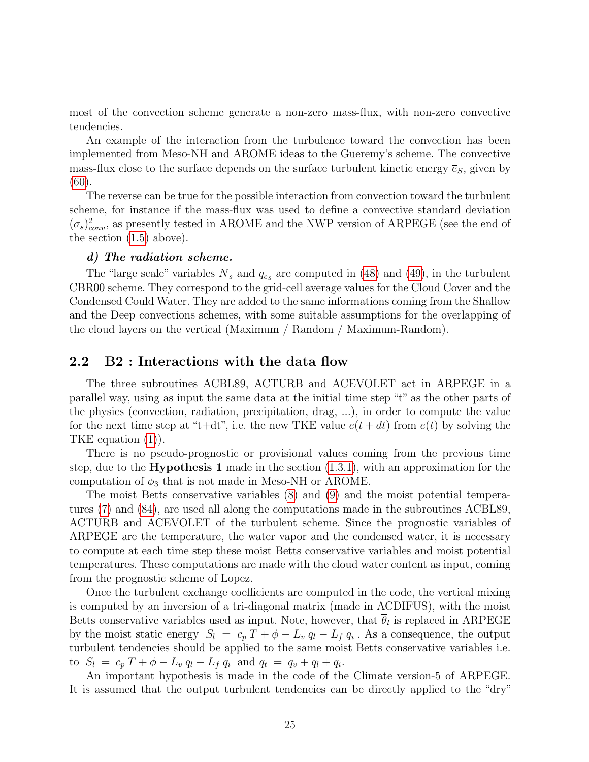most of the convection scheme generate a non-zero mass-flux, with non-zero convective tendencies.

An example of the interaction from the turbulence toward the convection has been implemented from Meso-NH and AROME ideas to the Gueremy's scheme. The convective mass-flux close to the surface depends on the surface turbulent kinetic energy  $\bar{e}_s$ , given by [\(60\)](#page-12-0).

The reverse can be true for the possible interaction from convection toward the turbulent scheme, for instance if the mass-flux was used to define a convective standard deviation  $(\sigma_s)_{conv}^2$ , as presently tested in AROME and the NWP version of ARPEGE (see the end of the section [\(1.5\)](#page-21-0) above).

#### d) The radiation scheme.

The "large scale" variables  $\overline{N}_s$  and  $\overline{q_c}_s$  are computed in [\(48\)](#page-9-5) and [\(49\)](#page-9-5), in the turbulent CBR00 scheme. They correspond to the grid-cell average values for the Cloud Cover and the Condensed Could Water. They are added to the same informations coming from the Shallow and the Deep convections schemes, with some suitable assumptions for the overlapping of the cloud layers on the vertical (Maximum / Random / Maximum-Random).

# <span id="page-24-0"></span>2.2 B2 : Interactions with the data flow

The three subroutines ACBL89, ACTURB and ACEVOLET act in ARPEGE in a parallel way, using as input the same data at the initial time step "t" as the other parts of the physics (convection, radiation, precipitation, drag, ...), in order to compute the value for the next time step at "t+dt", i.e. the new TKE value  $\bar{e}(t + dt)$  from  $\bar{e}(t)$  by solving the TKE equation [\(1\)](#page-3-1)).

There is no pseudo-prognostic or provisional values coming from the previous time step, due to the **Hypothesis 1** made in the section  $(1.3.1)$ , with an approximation for the computation of  $\phi_3$  that is not made in Meso-NH or AROME.

The moist Betts conservative variables [\(8\)](#page-3-2) and [\(9\)](#page-3-2) and the moist potential temperatures [\(7\)](#page-3-0) and [\(84\)](#page-15-3), are used all along the computations made in the subroutines ACBL89, ACTURB and ACEVOLET of the turbulent scheme. Since the prognostic variables of ARPEGE are the temperature, the water vapor and the condensed water, it is necessary to compute at each time step these moist Betts conservative variables and moist potential temperatures. These computations are made with the cloud water content as input, coming from the prognostic scheme of Lopez.

Once the turbulent exchange coefficients are computed in the code, the vertical mixing is computed by an inversion of a tri-diagonal matrix (made in ACDIFUS), with the moist Betts conservative variables used as input. Note, however, that  $\theta_l$  is replaced in ARPEGE by the moist static energy  $S_l = c_p T + \phi - L_v q_l - L_f q_i$ . As a consequence, the output turbulent tendencies should be applied to the same moist Betts conservative variables i.e. to  $S_l = c_p T + \phi - L_v q_l - L_f q_i$  and  $q_t = q_v + q_l + q_i$ .

An important hypothesis is made in the code of the Climate version-5 of ARPEGE. It is assumed that the output turbulent tendencies can be directly applied to the "dry"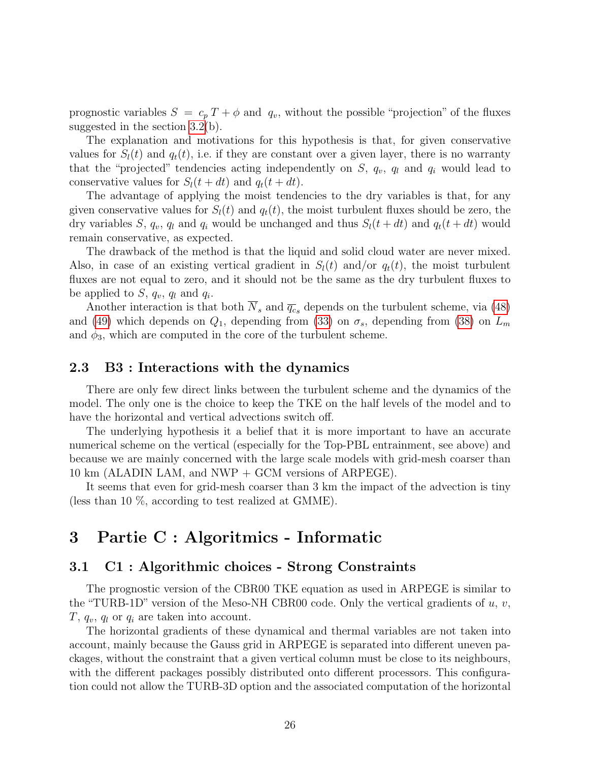prognostic variables  $S = c_p T + \phi$  and  $q_v$ , without the possible "projection" of the fluxes suggested in the section [3.2\(](#page-26-1)b).

The explanation and motivations for this hypothesis is that, for given conservative values for  $S_l(t)$  and  $q_t(t)$ , i.e. if they are constant over a given layer, there is no warranty that the "projected" tendencies acting independently on  $S$ ,  $q_v$ ,  $q_l$  and  $q_i$  would lead to conservative values for  $S_l(t + dt)$  and  $q_t(t + dt)$ .

The advantage of applying the moist tendencies to the dry variables is that, for any given conservative values for  $S_l(t)$  and  $q_t(t)$ , the moist turbulent fluxes should be zero, the dry variables S,  $q_v$ ,  $q_l$  and  $q_i$  would be unchanged and thus  $S_l(t + dt)$  and  $q_t(t + dt)$  would remain conservative, as expected.

The drawback of the method is that the liquid and solid cloud water are never mixed. Also, in case of an existing vertical gradient in  $S_l(t)$  and/or  $q_t(t)$ , the moist turbulent fluxes are not equal to zero, and it should not be the same as the dry turbulent fluxes to be applied to  $S, q_v, q_l$  and  $q_i$ .

Another interaction is that both  $\overline{N}_s$  and  $\overline{q_c}_s$  depends on the turbulent scheme, via [\(48\)](#page-9-5) and [\(49\)](#page-9-5) which depends on  $Q_1$ , depending from [\(33\)](#page-7-4) on  $\sigma_s$ , depending from [\(38\)](#page-8-1) on  $L_m$ and  $\phi_3$ , which are computed in the core of the turbulent scheme.

# 2.3 B3 : Interactions with the dynamics

There are only few direct links between the turbulent scheme and the dynamics of the model. The only one is the choice to keep the TKE on the half levels of the model and to have the horizontal and vertical advections switch off.

The underlying hypothesis it a belief that it is more important to have an accurate numerical scheme on the vertical (especially for the Top-PBL entrainment, see above) and because we are mainly concerned with the large scale models with grid-mesh coarser than 10 km (ALADIN LAM, and NWP + GCM versions of ARPEGE).

It seems that even for grid-mesh coarser than 3 km the impact of the advection is tiny (less than 10 %, according to test realized at GMME).

# 3 Partie C : Algoritmics - Informatic

# 3.1 C1 : Algorithmic choices - Strong Constraints

The prognostic version of the CBR00 TKE equation as used in ARPEGE is similar to the "TURB-1D" version of the Meso-NH CBR00 code. Only the vertical gradients of  $u, v$ ,  $T, q_v, q_l$  or  $q_i$  are taken into account.

The horizontal gradients of these dynamical and thermal variables are not taken into account, mainly because the Gauss grid in ARPEGE is separated into different uneven packages, without the constraint that a given vertical column must be close to its neighbours, with the different packages possibly distributed onto different processors. This configuration could not allow the TURB-3D option and the associated computation of the horizontal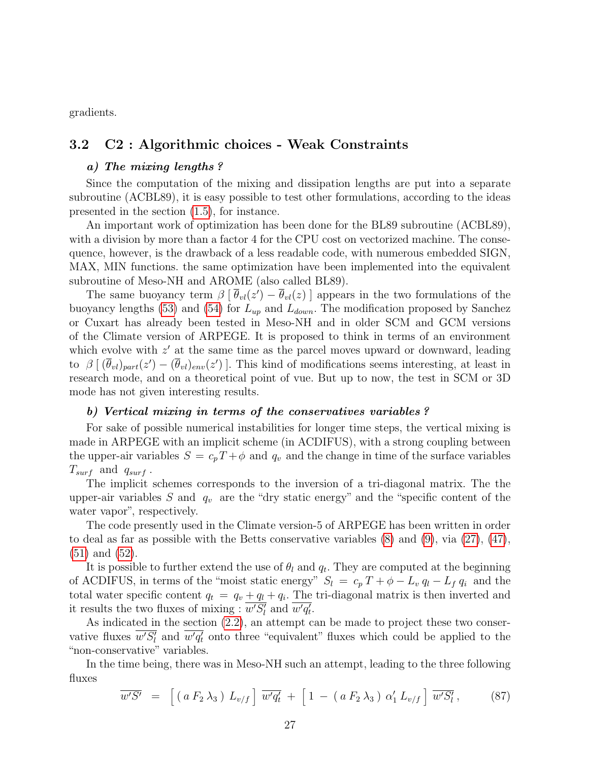gradients.

# <span id="page-26-1"></span>3.2 C2 : Algorithmic choices - Weak Constraints

#### a) The mixing lengths ?

Since the computation of the mixing and dissipation lengths are put into a separate subroutine (ACBL89), it is easy possible to test other formulations, according to the ideas presented in the section [\(1.5\)](#page-21-0), for instance.

An important work of optimization has been done for the BL89 subroutine (ACBL89), with a division by more than a factor 4 for the CPU cost on vectorized machine. The consequence, however, is the drawback of a less readable code, with numerous embedded SIGN, MAX, MIN functions. the same optimization have been implemented into the equivalent subroutine of Meso-NH and AROME (also called BL89).

The same buoyancy term  $\beta \left[\bar{\theta}_{vl}(z') - \bar{\theta}_{vl}(z)\right]$  appears in the two formulations of the buoyancy lengths [\(53\)](#page-10-1) and [\(54\)](#page-10-1) for  $L_{up}$  and  $L_{down}$ . The modification proposed by Sanchez or Cuxart has already been tested in Meso-NH and in older SCM and GCM versions of the Climate version of ARPEGE. It is proposed to think in terms of an environment which evolve with  $z'$  at the same time as the parcel moves upward or downward, leading to  $\beta \left[ (\bar{\theta}_{vl})_{part}(z') - (\bar{\theta}_{vl})_{env}(z') \right]$ . This kind of modifications seems interesting, at least in research mode, and on a theoretical point of vue. But up to now, the test in SCM or 3D mode has not given interesting results.

### b) Vertical mixing in terms of the conservatives variables?

For sake of possible numerical instabilities for longer time steps, the vertical mixing is made in ARPEGE with an implicit scheme (in ACDIFUS), with a strong coupling between the upper-air variables  $S = c_p T + \phi$  and  $q_v$  and the change in time of the surface variables  $T_{surf}$  and  $q_{surf}$ .

The implicit schemes corresponds to the inversion of a tri-diagonal matrix. The the upper-air variables S and  $q_v$  are the "dry static energy" and the "specific content of the water vapor", respectively.

The code presently used in the Climate version-5 of ARPEGE has been written in order to deal as far as possible with the Betts conservative variables [\(8\)](#page-3-2) and [\(9\)](#page-3-2), via [\(27\)](#page-7-0), [\(47\)](#page-9-4), [\(51\)](#page-10-2) and [\(52\)](#page-10-2).

It is possible to further extend the use of  $\theta_l$  and  $q_t$ . They are computed at the beginning of ACDIFUS, in terms of the "moist static energy"  $S_l = c_p T + \phi - L_v q_l - L_f q_i$  and the total water specific content  $q_t = q_v + q_l + q_i$ . The tri-diagonal matrix is then inverted and it results the two fluxes of mixing :  $\overline{w'S'_l}$  and  $\overline{w'q'_t}$ .

As indicated in the section [\(2.2\)](#page-24-0), an attempt can be made to project these two conservative fluxes  $\overline{w'S'_l}$  and  $\overline{w'q'_t}$  onto three "equivalent" fluxes which could be applied to the "non-conservative" variables.

In the time being, there was in Meso-NH such an attempt, leading to the three following fluxes

<span id="page-26-0"></span>
$$
\overline{w'S'} = \left[ \left( a F_2 \lambda_3 \right) L_{v/f} \right] \overline{w'q_t'} + \left[ 1 - \left( a F_2 \lambda_3 \right) \alpha'_1 L_{v/f} \right] \overline{w'S'_l}, \qquad (87)
$$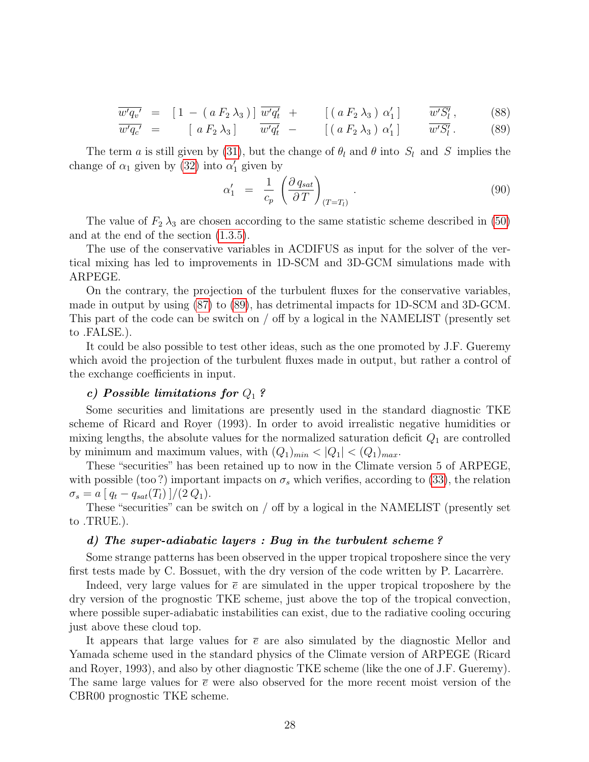$$
\overline{w'q_v'} = [1 - (a F_2 \lambda_3)] \overline{w'q_t} + [ (a F_2 \lambda_3) \alpha'_1 ] \overline{w'S'_l}, \qquad (88)
$$

$$
\overline{w'q_c'} = \left[ a F_2 \lambda_3 \right] \overline{w'q_t'} - \left[ \left( a F_2 \lambda_3 \right) \alpha'_1 \right] \overline{w'S_t'}.
$$
 (89)

The term a is still given by [\(31\)](#page-7-2), but the change of  $\theta_l$  and  $\theta$  into  $S_l$  and S implies the change of  $\alpha_1$  given by [\(32\)](#page-7-2) into  $\alpha'_1$  given by

$$
\alpha_1' = \frac{1}{c_p} \left( \frac{\partial q_{sat}}{\partial T} \right)_{(T=T_l)} . \tag{90}
$$

The value of  $F_2 \lambda_3$  are chosen according to the same statistic scheme described in [\(50\)](#page-9-5) and at the end of the section [\(1.3.5\)](#page-9-4).

The use of the conservative variables in ACDIFUS as input for the solver of the vertical mixing has led to improvements in 1D-SCM and 3D-GCM simulations made with ARPEGE.

On the contrary, the projection of the turbulent fluxes for the conservative variables, made in output by using [\(87\)](#page-26-0) to [\(89\)](#page-26-0), has detrimental impacts for 1D-SCM and 3D-GCM. This part of the code can be switch on / off by a logical in the NAMELIST (presently set to .FALSE.).

It could be also possible to test other ideas, such as the one promoted by J.F. Gueremy which avoid the projection of the turbulent fluxes made in output, but rather a control of the exchange coefficients in input.

# c) Possible limitations for  $Q_1$  ?

Some securities and limitations are presently used in the standard diagnostic TKE scheme of Ricard and Royer (1993). In order to avoid irrealistic negative humidities or mixing lengths, the absolute values for the normalized saturation deficit  $Q_1$  are controlled by minimum and maximum values, with  $(Q_1)_{min} < |Q_1| < (Q_1)_{max}$ .

These "securities" has been retained up to now in the Climate version 5 of ARPEGE, with possible (too?) important impacts on  $\sigma_s$  which verifies, according to [\(33\)](#page-7-4), the relation  $\sigma_s = a [ q_t - q_{sat}(T_l) ] / (2 Q_1).$ 

These "securities" can be switch on / off by a logical in the NAMELIST (presently set to .TRUE.).

#### d) The super-adiabatic layers : Bug in the turbulent scheme ?

Some strange patterns has been observed in the upper tropical troposhere since the very first tests made by C. Bossuet, with the dry version of the code written by P. Lacarrère.

Indeed, very large values for  $\bar{e}$  are simulated in the upper tropical troposhere by the dry version of the prognostic TKE scheme, just above the top of the tropical convection, where possible super-adiabatic instabilities can exist, due to the radiative cooling occuring just above these cloud top.

It appears that large values for  $\bar{e}$  are also simulated by the diagnostic Mellor and Yamada scheme used in the standard physics of the Climate version of ARPEGE (Ricard and Royer, 1993), and also by other diagnostic TKE scheme (like the one of J.F. Gueremy). The same large values for  $\bar{e}$  were also observed for the more recent moist version of the CBR00 prognostic TKE scheme.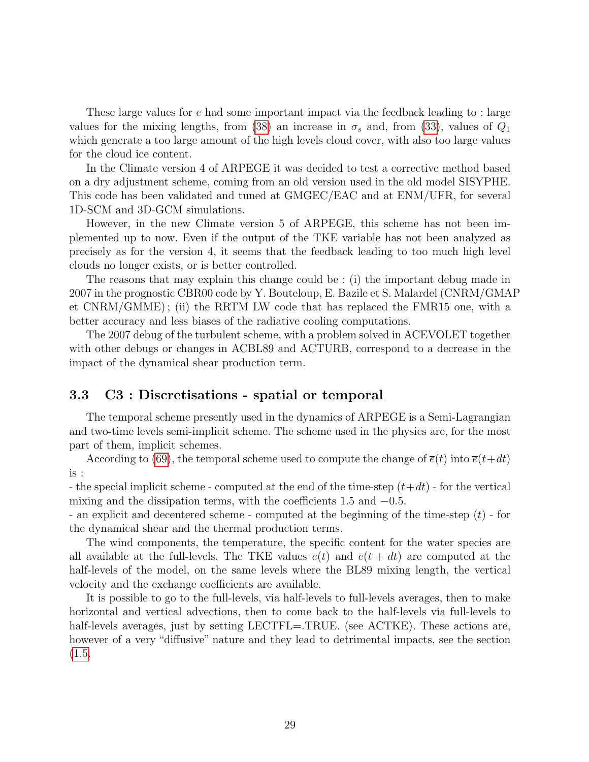These large values for  $\bar{e}$  had some important impact via the feedback leading to : large values for the mixing lengths, from [\(38\)](#page-8-1) an increase in  $\sigma_s$  and, from [\(33\)](#page-7-4), values of  $Q_1$ which generate a too large amount of the high levels cloud cover, with also too large values for the cloud ice content.

In the Climate version 4 of ARPEGE it was decided to test a corrective method based on a dry adjustment scheme, coming from an old version used in the old model SISYPHE. This code has been validated and tuned at GMGEC/EAC and at ENM/UFR, for several 1D-SCM and 3D-GCM simulations.

However, in the new Climate version 5 of ARPEGE, this scheme has not been implemented up to now. Even if the output of the TKE variable has not been analyzed as precisely as for the version 4, it seems that the feedback leading to too much high level clouds no longer exists, or is better controlled.

The reasons that may explain this change could be : (i) the important debug made in 2007 in the prognostic CBR00 code by Y. Bouteloup, E. Bazile et S. Malardel (CNRM/GMAP et CNRM/GMME) ; (ii) the RRTM LW code that has replaced the FMR15 one, with a better accuracy and less biases of the radiative cooling computations.

The 2007 debug of the turbulent scheme, with a problem solved in ACEVOLET together with other debugs or changes in ACBL89 and ACTURB, correspond to a decrease in the impact of the dynamical shear production term.

# 3.3 C3 : Discretisations - spatial or temporal

The temporal scheme presently used in the dynamics of ARPEGE is a Semi-Lagrangian and two-time levels semi-implicit scheme. The scheme used in the physics are, for the most part of them, implicit schemes.

According to [\(69\)](#page-13-0), the temporal scheme used to compute the change of  $\bar{e}(t)$  into  $\bar{e}(t+dt)$ is :

- the special implicit scheme - computed at the end of the time-step  $(t+dt)$  - for the vertical mixing and the dissipation terms, with the coefficients 1.5 and  $-0.5$ .

- an explicit and decentered scheme - computed at the beginning of the time-step (t) - for the dynamical shear and the thermal production terms.

The wind components, the temperature, the specific content for the water species are all available at the full-levels. The TKE values  $\bar{e}(t)$  and  $\bar{e}(t + dt)$  are computed at the half-levels of the model, on the same levels where the BL89 mixing length, the vertical velocity and the exchange coefficients are available.

It is possible to go to the full-levels, via half-levels to full-levels averages, then to make horizontal and vertical advections, then to come back to the half-levels via full-levels to half-levels averages, just by setting LECTFL=.TRUE. (see ACTKE). These actions are, however of a very "diffusive" nature and they lead to detrimental impacts, see the section [\(1.5.](#page-21-0)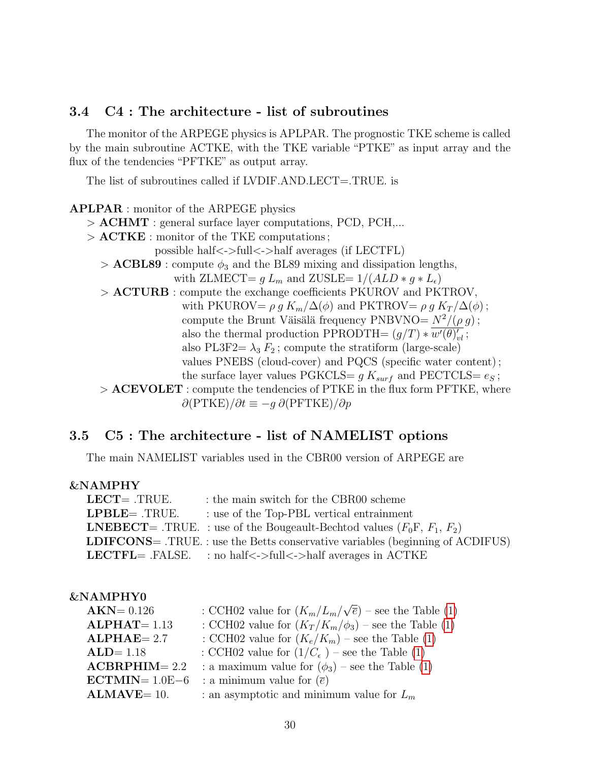# 3.4 C4 : The architecture - list of subroutines

The monitor of the ARPEGE physics is APLPAR. The prognostic TKE scheme is called by the main subroutine ACTKE, with the TKE variable "PTKE" as input array and the flux of the tendencies "PFTKE" as output array.

The list of subroutines called if LVDIF.AND.LECT=.TRUE. is

# APLPAR : monitor of the ARPEGE physics

> ACHMT : general surface layer computations, PCD, PCH,...

- > ACTKE : monitor of the TKE computations ;
	- possible half<->full<->half averages (if LECTFL)
	- $> ACBLS9$ : compute  $\phi_3$  and the BL89 mixing and dissipation lengths,

```
with ZLMECT= g L_m and ZUSLE= 1/(ALD * g * L_{\epsilon})
```
- > ACTURB : compute the exchange coefficients PKUROV and PKTROV, with PKUROV=  $\rho g K_m/\Delta(\phi)$  and PKTROV=  $\rho g K_T/\Delta(\phi)$ ; compute the Brunt Väisälä frequency PNBVNO=  $N^2/(\rho g)$ ; also the thermal production PPRODTH=  $(g/T) * \overline{w'(\theta)'_{\theta'}};$ also PL3F2=  $\lambda_3 F_2$ ; compute the stratiform (large-scale) values PNEBS (cloud-cover) and PQCS (specific water content) ; the surface layer values PGKCLS=  $g K_{surf}$  and PECTCLS=  $e_S$ ;
- $>$  ACEVOLET : compute the tendencies of PTKE in the flux form PFTKE, where  $\partial (PTKE)/\partial t \equiv -g \partial (PFTKE)/\partial p$

# 3.5 C5 : The architecture - list of NAMELIST options

The main NAMELIST variables used in the CBR00 version of ARPEGE are

### &NAMPHY

| $LECT = .TRUE.$ | : the main switch for the CBR00 scheme                                                |
|-----------------|---------------------------------------------------------------------------------------|
| $LPBLE= .TRUE.$ | : use of the Top-PBL vertical entrainment                                             |
|                 | <b>LNEBECT</b> = .TRUE. : use of the Bougeault-Bechtod values $(F_0F, F_1, F_2)$      |
|                 | <b>LDIFCONS</b> = .TRUE.: use the Betts conservative variables (beginning of ACDIFUS) |
|                 | <b>LECTFL</b> = .FALSE. : no half $\lt$ ->full $\lt$ ->half averages in ACTKE         |

# &NAMPHY0

| NAIVIERIU         |                                                                       |
|-------------------|-----------------------------------------------------------------------|
| $AKN = 0.126$     | : CCH02 value for $(K_m/L_m/\sqrt{\overline{e}})$ – see the Table (1) |
| $ALPHAT = 1.13$   | : CCH02 value for $(K_T/K_m/\phi_3)$ – see the Table (1)              |
| $ALPHAE = 2.7$    | : CCH02 value for $(K_e/K_m)$ – see the Table (1)                     |
| $ALD = 1.18$      | : CCH02 value for $(1/C_{\epsilon})$ – see the Table (1)              |
| $ACBRPHIM = 2.2$  | : a maximum value for $(\phi_3)$ – see the Table (1)                  |
| $ECTMIN = 1.0E-6$ | : a minimum value for $(\bar{e})$                                     |
| $ALMAVE=10.$      | : an asymptotic and minimum value for $L_m$                           |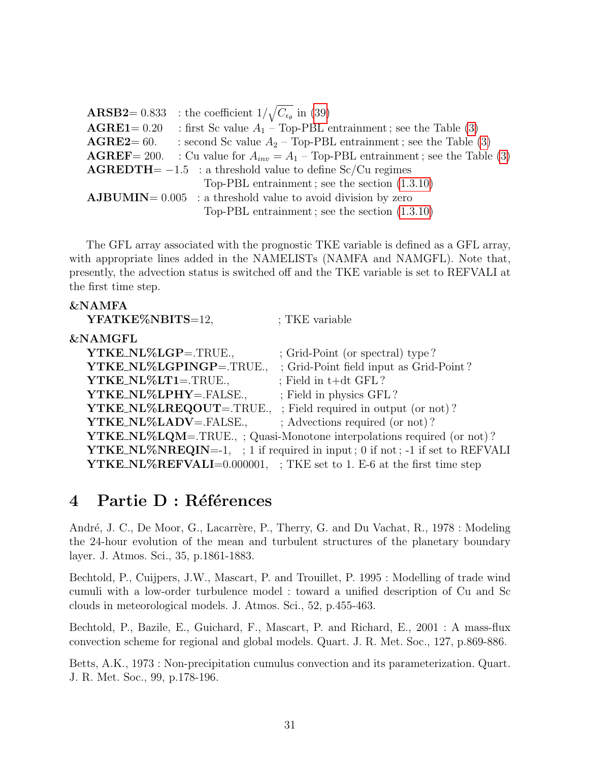|                         | <b>ARSB2</b> = 0.833 : the coefficient $1/\sqrt{C_{\epsilon_{\theta}}}$ in (39)             |
|-------------------------|---------------------------------------------------------------------------------------------|
| $\textbf{AGRE1} = 0.20$ | : first Sc value $A_1$ – Top-PBL entrainment; see the Table (3)                             |
| $\text{AGRE2}=60.$      | : second Sc value $A_2$ – Top-PBL entrainment; see the Table (3)                            |
|                         | <b>AGREF</b> = 200. : Cu value for $A_{inv} = A_1$ – Top-PBL entrainment; see the Table (3) |
|                         | $\text{AGREDTH} = -1.5$ : a threshold value to define Sc/Cu regimes                         |
|                         | Top-PBL entrainment; see the section $(1.3.10)$                                             |
|                         | $\text{AJBUMIN} = 0.005$ : a threshold value to avoid division by zero                      |
|                         | Top-PBL entrainment; see the section $(1.3.10)$                                             |

The GFL array associated with the prognostic TKE variable is defined as a GFL array, with appropriate lines added in the NAMELISTs (NAMFA and NAMGFL). Note that, presently, the advection status is switched off and the TKE variable is set to REFVALI at the first time step.

# &NAMFA

| YFATKE%NBITS=12,                                                     | ; TKE variable                                                                     |
|----------------------------------------------------------------------|------------------------------------------------------------------------------------|
| $\&$ NAMGFL                                                          |                                                                                    |
| YTKE_NL%LGP=.TRUE.,                                                  | ; Grid-Point (or spectral) type?                                                   |
| YTKE_NL%LGPINGP=.TRUE.,                                              | ; Grid-Point field input as Grid-Point?                                            |
| YTKE_NL%LT1=.TRUE.,                                                  | ; Field in $t+dt$ GFL?                                                             |
| YTKE_NL%LPHY=.FALSE.,                                                | ; Field in physics GFL?                                                            |
| <b>YTKE_NL%LREQOUT</b> =.TRUE., ; Field required in output (or not)? |                                                                                    |
| YTKE_NL%LADV=.FALSE.,                                                | ; Advections required (or not)?                                                    |
|                                                                      | <b>YTKE_NL%LQM</b> =.TRUE.,; Quasi-Monotone interpolations required (or not)?      |
|                                                                      | <b>YTKE_NL%NREQIN=-1,</b> ; 1 if required in input; 0 if not; -1 if set to REFVALI |
|                                                                      | <b>YTKE_NL%REFVALI</b> =0.000001, ; TKE set to 1. E-6 at the first time step       |

# 4 Partie D : Références

André, J. C., De Moor, G., Lacarrère, P., Therry, G. and Du Vachat, R., 1978 : Modeling the 24-hour evolution of the mean and turbulent structures of the planetary boundary layer. J. Atmos. Sci., 35, p.1861-1883.

Bechtold, P., Cuijpers, J.W., Mascart, P. and Trouillet, P. 1995 : Modelling of trade wind cumuli with a low-order turbulence model : toward a unified description of Cu and Sc clouds in meteorological models. J. Atmos. Sci., 52, p.455-463.

Bechtold, P., Bazile, E., Guichard, F., Mascart, P. and Richard, E., 2001 : A mass-flux convection scheme for regional and global models. Quart. J. R. Met. Soc., 127, p.869-886.

Betts, A.K., 1973 : Non-precipitation cumulus convection and its parameterization. Quart. J. R. Met. Soc., 99, p.178-196.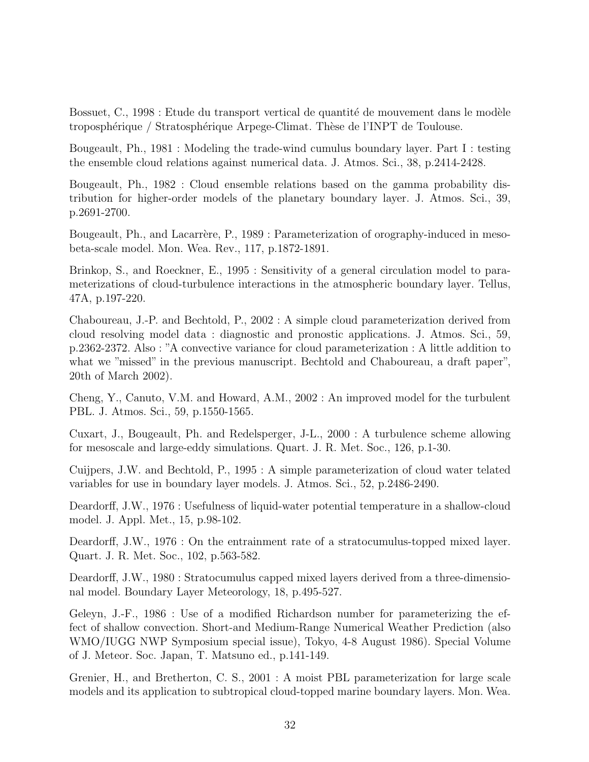Bossuet, C., 1998 : Etude du transport vertical de quantité de mouvement dans le modèle troposphérique / Stratosphérique Arpege-Climat. Thèse de l'INPT de Toulouse.

Bougeault, Ph., 1981 : Modeling the trade-wind cumulus boundary layer. Part I : testing the ensemble cloud relations against numerical data. J. Atmos. Sci., 38, p.2414-2428.

Bougeault, Ph., 1982 : Cloud ensemble relations based on the gamma probability distribution for higher-order models of the planetary boundary layer. J. Atmos. Sci., 39, p.2691-2700.

Bougeault, Ph., and Lacarrère, P., 1989 : Parameterization of orography-induced in mesobeta-scale model. Mon. Wea. Rev., 117, p.1872-1891.

Brinkop, S., and Roeckner, E., 1995 : Sensitivity of a general circulation model to parameterizations of cloud-turbulence interactions in the atmospheric boundary layer. Tellus, 47A, p.197-220.

Chaboureau, J.-P. and Bechtold, P., 2002 : A simple cloud parameterization derived from cloud resolving model data : diagnostic and pronostic applications. J. Atmos. Sci., 59, p.2362-2372. Also : "A convective variance for cloud parameterization : A little addition to what we "missed" in the previous manuscript. Bechtold and Chaboureau, a draft paper", 20th of March 2002).

Cheng, Y., Canuto, V.M. and Howard, A.M., 2002 : An improved model for the turbulent PBL. J. Atmos. Sci., 59, p.1550-1565.

Cuxart, J., Bougeault, Ph. and Redelsperger, J-L., 2000 : A turbulence scheme allowing for mesoscale and large-eddy simulations. Quart. J. R. Met. Soc., 126, p.1-30.

Cuijpers, J.W. and Bechtold, P., 1995 : A simple parameterization of cloud water telated variables for use in boundary layer models. J. Atmos. Sci., 52, p.2486-2490.

Deardorff, J.W., 1976 : Usefulness of liquid-water potential temperature in a shallow-cloud model. J. Appl. Met., 15, p.98-102.

Deardorff, J.W., 1976 : On the entrainment rate of a stratocumulus-topped mixed layer. Quart. J. R. Met. Soc., 102, p.563-582.

Deardorff, J.W., 1980 : Stratocumulus capped mixed layers derived from a three-dimensional model. Boundary Layer Meteorology, 18, p.495-527.

Geleyn, J.-F., 1986 : Use of a modified Richardson number for parameterizing the effect of shallow convection. Short-and Medium-Range Numerical Weather Prediction (also WMO/IUGG NWP Symposium special issue), Tokyo, 4-8 August 1986). Special Volume of J. Meteor. Soc. Japan, T. Matsuno ed., p.141-149.

Grenier, H., and Bretherton, C. S., 2001 : A moist PBL parameterization for large scale models and its application to subtropical cloud-topped marine boundary layers. Mon. Wea.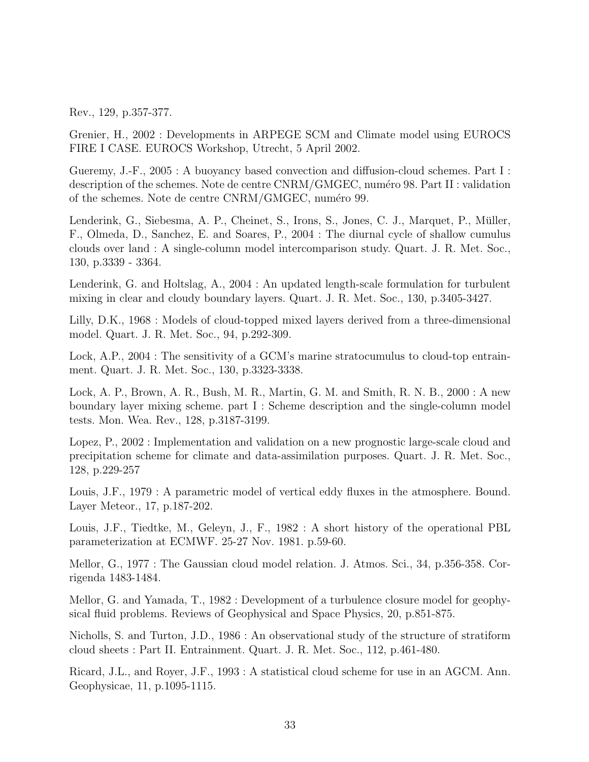Rev., 129, p.357-377.

Grenier, H., 2002 : Developments in ARPEGE SCM and Climate model using EUROCS FIRE I CASE. EUROCS Workshop, Utrecht, 5 April 2002.

Gueremy, J.-F., 2005 : A buoyancy based convection and diffusion-cloud schemes. Part I : description of the schemes. Note de centre CNRM/GMGEC, numéro 98. Part II : validation of the schemes. Note de centre CNRM/GMGEC, numéro 99.

Lenderink, G., Siebesma, A. P., Cheinet, S., Irons, S., Jones, C. J., Marquet, P., Müller, F., Olmeda, D., Sanchez, E. and Soares, P., 2004 : The diurnal cycle of shallow cumulus clouds over land : A single-column model intercomparison study. Quart. J. R. Met. Soc., 130, p.3339 - 3364.

Lenderink, G. and Holtslag, A., 2004 : An updated length-scale formulation for turbulent mixing in clear and cloudy boundary layers. Quart. J. R. Met. Soc., 130, p.3405-3427.

Lilly, D.K., 1968 : Models of cloud-topped mixed layers derived from a three-dimensional model. Quart. J. R. Met. Soc., 94, p.292-309.

Lock, A.P., 2004 : The sensitivity of a GCM's marine stratocumulus to cloud-top entrainment. Quart. J. R. Met. Soc., 130, p.3323-3338.

Lock, A. P., Brown, A. R., Bush, M. R., Martin, G. M. and Smith, R. N. B., 2000 : A new boundary layer mixing scheme. part I : Scheme description and the single-column model tests. Mon. Wea. Rev., 128, p.3187-3199.

Lopez, P., 2002 : Implementation and validation on a new prognostic large-scale cloud and precipitation scheme for climate and data-assimilation purposes. Quart. J. R. Met. Soc., 128, p.229-257

Louis, J.F., 1979 : A parametric model of vertical eddy fluxes in the atmosphere. Bound. Layer Meteor., 17, p.187-202.

Louis, J.F., Tiedtke, M., Geleyn, J., F., 1982 : A short history of the operational PBL parameterization at ECMWF. 25-27 Nov. 1981. p.59-60.

Mellor, G., 1977 : The Gaussian cloud model relation. J. Atmos. Sci., 34, p.356-358. Corrigenda 1483-1484.

Mellor, G. and Yamada, T., 1982 : Development of a turbulence closure model for geophysical fluid problems. Reviews of Geophysical and Space Physics, 20, p.851-875.

Nicholls, S. and Turton, J.D., 1986 : An observational study of the structure of stratiform cloud sheets : Part II. Entrainment. Quart. J. R. Met. Soc., 112, p.461-480.

Ricard, J.L., and Royer, J.F., 1993 : A statistical cloud scheme for use in an AGCM. Ann. Geophysicae, 11, p.1095-1115.